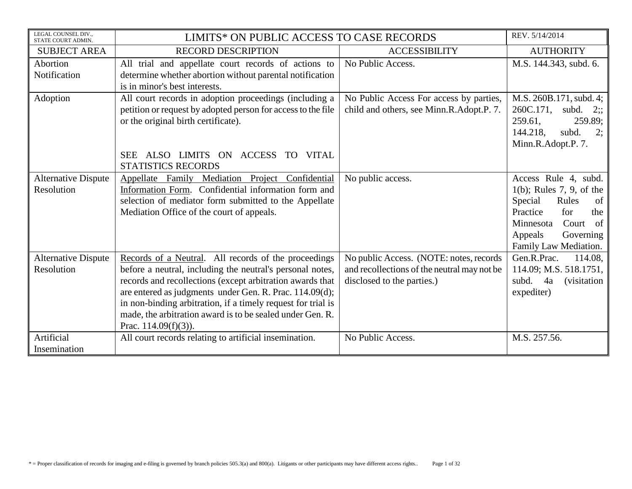| LEGAL COUNSEL DIV.,<br>STATE COURT ADMIN. | LIMITS* ON PUBLIC ACCESS TO CASE RECORDS                                                                                                                                                                                                          |                                                                                        | REV. 5/14/2014                                                                                       |
|-------------------------------------------|---------------------------------------------------------------------------------------------------------------------------------------------------------------------------------------------------------------------------------------------------|----------------------------------------------------------------------------------------|------------------------------------------------------------------------------------------------------|
| <b>SUBJECT AREA</b>                       | <b>RECORD DESCRIPTION</b>                                                                                                                                                                                                                         | <b>ACCESSIBILITY</b>                                                                   | <b>AUTHORITY</b>                                                                                     |
| Abortion<br>Notification                  | All trial and appellate court records of actions to<br>determine whether abortion without parental notification                                                                                                                                   | No Public Access.                                                                      | M.S. 144.343, subd. 6.                                                                               |
|                                           | is in minor's best interests.                                                                                                                                                                                                                     |                                                                                        |                                                                                                      |
| Adoption                                  | All court records in adoption proceedings (including a<br>petition or request by adopted person for access to the file<br>or the original birth certificate).                                                                                     | No Public Access For access by parties,<br>child and others, see Minn.R.Adopt.P. 7.    | M.S. 260B.171, subd. 4;<br>260C.171, subd.<br>$2$ :<br>259.61,<br>259.89;<br>144.218.<br>subd.<br>2; |
|                                           | ALSO LIMITS ON ACCESS TO VITAL<br><b>SEE</b><br><b>STATISTICS RECORDS</b>                                                                                                                                                                         |                                                                                        | Minn.R.Adopt.P. 7.                                                                                   |
| <b>Alternative Dispute</b><br>Resolution  | Appellate Family Mediation Project Confidential<br>Information Form. Confidential information form and                                                                                                                                            | No public access.                                                                      | Access Rule 4, subd.<br>$1(b)$ ; Rules 7, 9, of the                                                  |
|                                           | selection of mediator form submitted to the Appellate<br>Mediation Office of the court of appeals.                                                                                                                                                |                                                                                        | Special<br>Rules<br>of<br>Practice<br>for<br>the<br>Minnesota<br>Court<br>of<br>Governing<br>Appeals |
|                                           |                                                                                                                                                                                                                                                   |                                                                                        | Family Law Mediation.                                                                                |
| <b>Alternative Dispute</b><br>Resolution  | Records of a Neutral. All records of the proceedings<br>before a neutral, including the neutral's personal notes,                                                                                                                                 | No public Access. (NOTE: notes, records<br>and recollections of the neutral may not be | Gen.R.Prac.<br>114.08,<br>114.09; M.S. 518.1751,                                                     |
|                                           | records and recollections (except arbitration awards that<br>are entered as judgments under Gen. R. Prac. 114.09(d);<br>in non-binding arbitration, if a timely request for trial is<br>made, the arbitration award is to be sealed under Gen. R. | disclosed to the parties.)                                                             | subd.<br>4a<br><i>(visitation)</i><br>expediter)                                                     |
|                                           | Prac. $114.09(f)(3)$ ).                                                                                                                                                                                                                           |                                                                                        |                                                                                                      |
| Artificial                                | All court records relating to artificial insemination.                                                                                                                                                                                            | No Public Access.                                                                      | M.S. 257.56.                                                                                         |
| Insemination                              |                                                                                                                                                                                                                                                   |                                                                                        |                                                                                                      |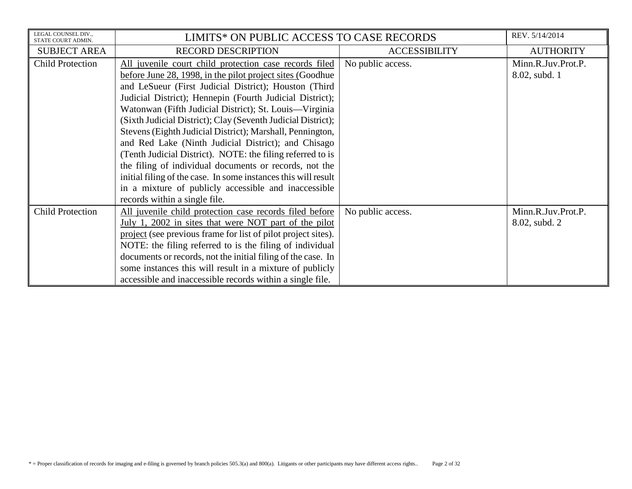| LEGAL COUNSEL DIV<br>STATE COURT ADMIN. | LIMITS* ON PUBLIC ACCESS TO CASE RECORDS                       |                      | REV. 5/14/2014     |
|-----------------------------------------|----------------------------------------------------------------|----------------------|--------------------|
| <b>SUBJECT AREA</b>                     | <b>RECORD DESCRIPTION</b>                                      | <b>ACCESSIBILITY</b> | <b>AUTHORITY</b>   |
| <b>Child Protection</b>                 | All juvenile court child protection case records filed         | No public access.    | Minn.R.Juv.Prot.P. |
|                                         | before June 28, 1998, in the pilot project sites (Goodhue)     |                      | 8.02, subd. 1      |
|                                         | and LeSueur (First Judicial District); Houston (Third          |                      |                    |
|                                         | Judicial District); Hennepin (Fourth Judicial District);       |                      |                    |
|                                         | Watonwan (Fifth Judicial District); St. Louis—Virginia         |                      |                    |
|                                         | (Sixth Judicial District); Clay (Seventh Judicial District);   |                      |                    |
|                                         | Stevens (Eighth Judicial District); Marshall, Pennington,      |                      |                    |
|                                         | and Red Lake (Ninth Judicial District); and Chisago            |                      |                    |
|                                         | (Tenth Judicial District). NOTE: the filing referred to is     |                      |                    |
|                                         | the filing of individual documents or records, not the         |                      |                    |
|                                         | initial filing of the case. In some instances this will result |                      |                    |
|                                         | in a mixture of publicly accessible and inaccessible           |                      |                    |
|                                         | records within a single file.                                  |                      |                    |
| <b>Child Protection</b>                 | All juvenile child protection case records filed before        | No public access.    | Minn.R.Juv.Prot.P. |
|                                         | July 1, 2002 in sites that were NOT part of the pilot          |                      | 8.02, subd. 2      |
|                                         | project (see previous frame for list of pilot project sites).  |                      |                    |
|                                         | NOTE: the filing referred to is the filing of individual       |                      |                    |
|                                         | documents or records, not the initial filing of the case. In   |                      |                    |
|                                         | some instances this will result in a mixture of publicly       |                      |                    |
|                                         | accessible and inaccessible records within a single file.      |                      |                    |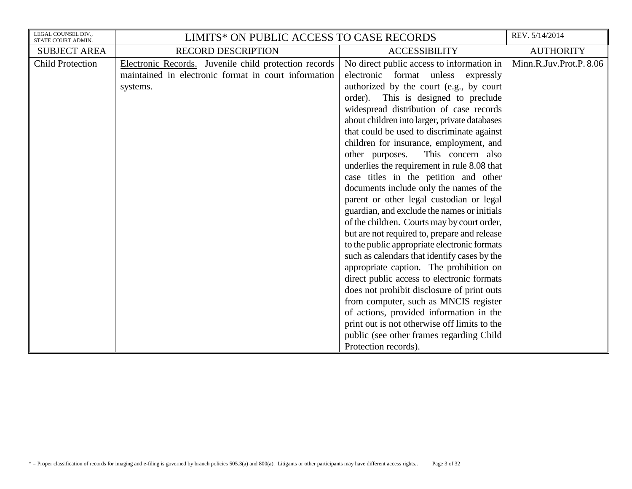| LEGAL COUNSEL DIV.,<br>STATE COURT ADMIN. | LIMITS* ON PUBLIC ACCESS TO CASE RECORDS                                                                                  |                                                                                                                                                                                                                                                                                                                                                                                                                                                                                                                                                                                                                                                                                                                                                                                                                                                                                                                                                                                                                                                            | REV. 5/14/2014          |
|-------------------------------------------|---------------------------------------------------------------------------------------------------------------------------|------------------------------------------------------------------------------------------------------------------------------------------------------------------------------------------------------------------------------------------------------------------------------------------------------------------------------------------------------------------------------------------------------------------------------------------------------------------------------------------------------------------------------------------------------------------------------------------------------------------------------------------------------------------------------------------------------------------------------------------------------------------------------------------------------------------------------------------------------------------------------------------------------------------------------------------------------------------------------------------------------------------------------------------------------------|-------------------------|
| <b>SUBJECT AREA</b>                       | <b>RECORD DESCRIPTION</b>                                                                                                 | <b>ACCESSIBILITY</b>                                                                                                                                                                                                                                                                                                                                                                                                                                                                                                                                                                                                                                                                                                                                                                                                                                                                                                                                                                                                                                       | <b>AUTHORITY</b>        |
| <b>Child Protection</b>                   | Electronic Records. Juvenile child protection records<br>maintained in electronic format in court information<br>systems. | No direct public access to information in<br>electronic format unless expressly<br>authorized by the court (e.g., by court<br>order).<br>This is designed to preclude<br>widespread distribution of case records<br>about children into larger, private databases<br>that could be used to discriminate against<br>children for insurance, employment, and<br>This concern also<br>other purposes.<br>underlies the requirement in rule 8.08 that<br>case titles in the petition and other<br>documents include only the names of the<br>parent or other legal custodian or legal<br>guardian, and exclude the names or initials<br>of the children. Courts may by court order,<br>but are not required to, prepare and release<br>to the public appropriate electronic formats<br>such as calendars that identify cases by the<br>appropriate caption. The prohibition on<br>direct public access to electronic formats<br>does not prohibit disclosure of print outs<br>from computer, such as MNCIS register<br>of actions, provided information in the | Minn.R.Juv.Prot.P. 8.06 |
|                                           |                                                                                                                           | print out is not otherwise off limits to the<br>public (see other frames regarding Child                                                                                                                                                                                                                                                                                                                                                                                                                                                                                                                                                                                                                                                                                                                                                                                                                                                                                                                                                                   |                         |
|                                           |                                                                                                                           | Protection records).                                                                                                                                                                                                                                                                                                                                                                                                                                                                                                                                                                                                                                                                                                                                                                                                                                                                                                                                                                                                                                       |                         |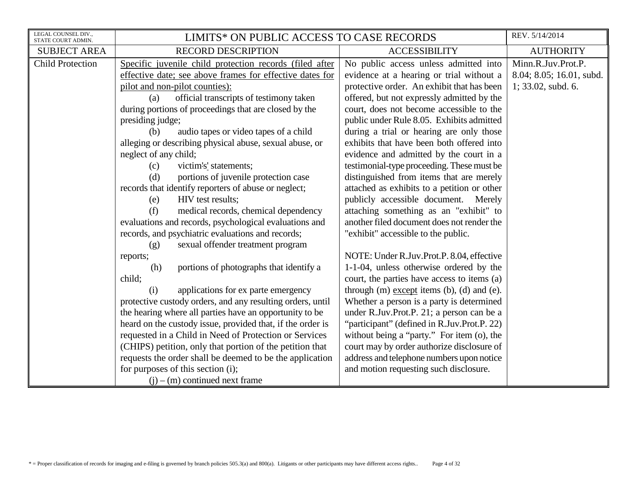| LEGAL COUNSEL DIV.,<br>STATE COURT ADMIN. | LIMITS* ON PUBLIC ACCESS TO CASE RECORDS                   |                                                      | REV. 5/14/2014           |
|-------------------------------------------|------------------------------------------------------------|------------------------------------------------------|--------------------------|
| <b>SUBJECT AREA</b>                       | <b>RECORD DESCRIPTION</b>                                  | <b>ACCESSIBILITY</b>                                 | <b>AUTHORITY</b>         |
| <b>Child Protection</b>                   | Specific juvenile child protection records (filed after    | No public access unless admitted into                | Minn.R.Juv.Prot.P.       |
|                                           | effective date; see above frames for effective dates for   | evidence at a hearing or trial without a             | 8.04; 8.05; 16.01, subd. |
|                                           | pilot and non-pilot counties):                             | protective order. An exhibit that has been           | $1; 33.02$ , subd. 6.    |
|                                           | official transcripts of testimony taken<br>(a)             | offered, but not expressly admitted by the           |                          |
|                                           | during portions of proceedings that are closed by the      | court, does not become accessible to the             |                          |
|                                           | presiding judge;                                           | public under Rule 8.05. Exhibits admitted            |                          |
|                                           | audio tapes or video tapes of a child<br>(b)               | during a trial or hearing are only those             |                          |
|                                           | alleging or describing physical abuse, sexual abuse, or    | exhibits that have been both offered into            |                          |
|                                           | neglect of any child;                                      | evidence and admitted by the court in a              |                          |
|                                           | victim's' statements;<br>(c)                               | testimonial-type proceeding. These must be           |                          |
|                                           | portions of juvenile protection case<br>(d)                | distinguished from items that are merely             |                          |
|                                           | records that identify reporters of abuse or neglect;       | attached as exhibits to a petition or other          |                          |
|                                           | HIV test results;<br>(e)                                   | publicly accessible document. Merely                 |                          |
|                                           | (f)<br>medical records, chemical dependency                | attaching something as an "exhibit" to               |                          |
|                                           | evaluations and records, psychological evaluations and     | another filed document does not render the           |                          |
|                                           | records, and psychiatric evaluations and records;          | "exhibit" accessible to the public.                  |                          |
|                                           | sexual offender treatment program<br>(g)                   |                                                      |                          |
|                                           | reports;                                                   | NOTE: Under R.Juv.Prot.P. 8.04, effective            |                          |
|                                           | portions of photographs that identify a<br>(h)             | 1-1-04, unless otherwise ordered by the              |                          |
|                                           | child;                                                     | court, the parties have access to items (a)          |                          |
|                                           | applications for ex parte emergency<br>(i)                 | through $(m)$ except items $(b)$ , $(d)$ and $(e)$ . |                          |
|                                           | protective custody orders, and any resulting orders, until | Whether a person is a party is determined            |                          |
|                                           | the hearing where all parties have an opportunity to be    | under R.Juv.Prot.P. 21; a person can be a            |                          |
|                                           | heard on the custody issue, provided that, if the order is | "participant" (defined in R.Juv.Prot.P. 22)          |                          |
|                                           | requested in a Child in Need of Protection or Services     | without being a "party." For item (o), the           |                          |
|                                           | (CHIPS) petition, only that portion of the petition that   | court may by order authorize disclosure of           |                          |
|                                           | requests the order shall be deemed to be the application   | address and telephone numbers upon notice            |                          |
|                                           | for purposes of this section (i);                          | and motion requesting such disclosure.               |                          |
|                                           | $(i) - (m)$ continued next frame                           |                                                      |                          |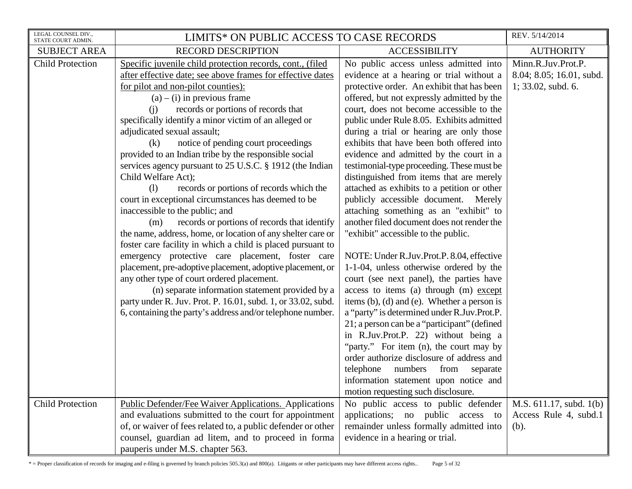| LEGAL COUNSEL DIV.,<br>STATE COURT ADMIN. | LIMITS* ON PUBLIC ACCESS TO CASE RECORDS                                                                                                                                                                                                                                                                                                                                                                                                                                                                                                                                                                                                                                                                                                                                                                                                                                                                                                                                                                                                                                                                                                                                                                          |                                                                                                                                                                                                                                                                                                                                                                                                                                                                                                                                                                                                                                                                                                                                                                                                                                                                                                                                                                                                                                                                                                                                                                                                                                                                                                                   | REV. 5/14/2014                                                          |
|-------------------------------------------|-------------------------------------------------------------------------------------------------------------------------------------------------------------------------------------------------------------------------------------------------------------------------------------------------------------------------------------------------------------------------------------------------------------------------------------------------------------------------------------------------------------------------------------------------------------------------------------------------------------------------------------------------------------------------------------------------------------------------------------------------------------------------------------------------------------------------------------------------------------------------------------------------------------------------------------------------------------------------------------------------------------------------------------------------------------------------------------------------------------------------------------------------------------------------------------------------------------------|-------------------------------------------------------------------------------------------------------------------------------------------------------------------------------------------------------------------------------------------------------------------------------------------------------------------------------------------------------------------------------------------------------------------------------------------------------------------------------------------------------------------------------------------------------------------------------------------------------------------------------------------------------------------------------------------------------------------------------------------------------------------------------------------------------------------------------------------------------------------------------------------------------------------------------------------------------------------------------------------------------------------------------------------------------------------------------------------------------------------------------------------------------------------------------------------------------------------------------------------------------------------------------------------------------------------|-------------------------------------------------------------------------|
| <b>SUBJECT AREA</b>                       | <b>RECORD DESCRIPTION</b>                                                                                                                                                                                                                                                                                                                                                                                                                                                                                                                                                                                                                                                                                                                                                                                                                                                                                                                                                                                                                                                                                                                                                                                         | <b>ACCESSIBILITY</b>                                                                                                                                                                                                                                                                                                                                                                                                                                                                                                                                                                                                                                                                                                                                                                                                                                                                                                                                                                                                                                                                                                                                                                                                                                                                                              | <b>AUTHORITY</b>                                                        |
| <b>Child Protection</b>                   | Specific juvenile child protection records, cont., (filed<br>after effective date; see above frames for effective dates<br>for pilot and non-pilot counties):<br>$(a) - (i)$ in previous frame<br>records or portions of records that<br>(i)<br>specifically identify a minor victim of an alleged or<br>adjudicated sexual assault;<br>notice of pending court proceedings<br>(k)<br>provided to an Indian tribe by the responsible social<br>services agency pursuant to 25 U.S.C. § 1912 (the Indian<br>Child Welfare Act);<br>records or portions of records which the<br>(1)<br>court in exceptional circumstances has deemed to be<br>inaccessible to the public; and<br>records or portions of records that identify<br>(m)<br>the name, address, home, or location of any shelter care or<br>foster care facility in which a child is placed pursuant to<br>emergency protective care placement, foster care<br>placement, pre-adoptive placement, adoptive placement, or<br>any other type of court ordered placement.<br>(n) separate information statement provided by a<br>party under R. Juv. Prot. P. 16.01, subd. 1, or 33.02, subd.<br>6, containing the party's address and/or telephone number. | No public access unless admitted into<br>evidence at a hearing or trial without a<br>protective order. An exhibit that has been<br>offered, but not expressly admitted by the<br>court, does not become accessible to the<br>public under Rule 8.05. Exhibits admitted<br>during a trial or hearing are only those<br>exhibits that have been both offered into<br>evidence and admitted by the court in a<br>testimonial-type proceeding. These must be<br>distinguished from items that are merely<br>attached as exhibits to a petition or other<br>publicly accessible document. Merely<br>attaching something as an "exhibit" to<br>another filed document does not render the<br>"exhibit" accessible to the public.<br>NOTE: Under R.Juv.Prot.P. 8.04, effective<br>1-1-04, unless otherwise ordered by the<br>court (see next panel), the parties have<br>access to items (a) through (m) except<br>items (b), (d) and (e). Whether a person is<br>a "party" is determined under R.Juv.Prot.P.<br>21; a person can be a "participant" (defined<br>in R.Juv.Prot.P. 22) without being a<br>"party." For item (n), the court may by<br>order authorize disclosure of address and<br>telephone<br>numbers<br>from<br>separate<br>information statement upon notice and<br>motion requesting such disclosure. | Minn.R.Juv.Prot.P.<br>8.04; 8.05; 16.01, subd.<br>$1; 33.02$ , subd. 6. |
| <b>Child Protection</b>                   | <b>Public Defender/Fee Waiver Applications. Applications</b><br>and evaluations submitted to the court for appointment<br>of, or waiver of fees related to, a public defender or other                                                                                                                                                                                                                                                                                                                                                                                                                                                                                                                                                                                                                                                                                                                                                                                                                                                                                                                                                                                                                            | No public access to public defender<br>applications; no public access to<br>remainder unless formally admitted into                                                                                                                                                                                                                                                                                                                                                                                                                                                                                                                                                                                                                                                                                                                                                                                                                                                                                                                                                                                                                                                                                                                                                                                               | M.S. $611.17$ , subd. $1(b)$<br>Access Rule 4, subd.1<br>(b).           |
|                                           | counsel, guardian ad litem, and to proceed in forma<br>pauperis under M.S. chapter 563.                                                                                                                                                                                                                                                                                                                                                                                                                                                                                                                                                                                                                                                                                                                                                                                                                                                                                                                                                                                                                                                                                                                           | evidence in a hearing or trial.                                                                                                                                                                                                                                                                                                                                                                                                                                                                                                                                                                                                                                                                                                                                                                                                                                                                                                                                                                                                                                                                                                                                                                                                                                                                                   |                                                                         |

\* = Proper classification of records for imaging and e-filing is governed by branch policies 505.3(a) and 800(a). Litigants or other participants may have different access rights.. Page 5 of 32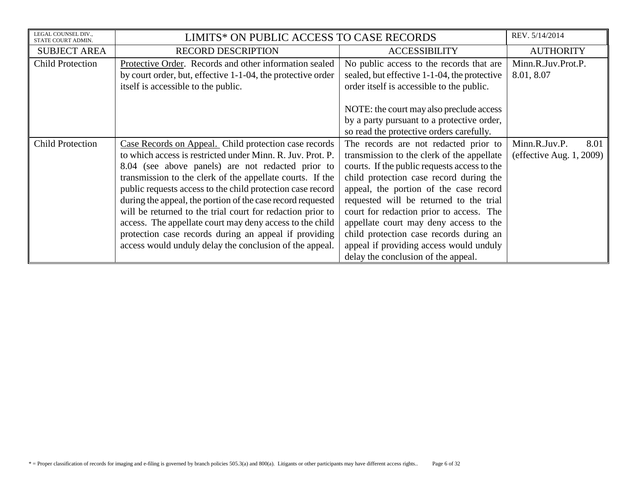| LEGAL COUNSEL DIV.,<br>STATE COURT ADMIN. | LIMITS* ON PUBLIC ACCESS TO CASE RECORDS                    |                                              | REV. 5/14/2014              |
|-------------------------------------------|-------------------------------------------------------------|----------------------------------------------|-----------------------------|
| <b>SUBJECT AREA</b>                       | <b>RECORD DESCRIPTION</b>                                   | <b>ACCESSIBILITY</b>                         | <b>AUTHORITY</b>            |
| <b>Child Protection</b>                   | Protective Order. Records and other information sealed      | No public access to the records that are     | Minn.R.Juv.Prot.P.          |
|                                           | by court order, but, effective 1-1-04, the protective order | sealed, but effective 1-1-04, the protective | 8.01, 8.07                  |
|                                           | itself is accessible to the public.                         | order itself is accessible to the public.    |                             |
|                                           |                                                             |                                              |                             |
|                                           |                                                             | NOTE: the court may also preclude access     |                             |
|                                           |                                                             | by a party pursuant to a protective order,   |                             |
|                                           |                                                             | so read the protective orders carefully.     |                             |
| <b>Child Protection</b>                   | Case Records on Appeal. Child protection case records       | The records are not redacted prior to        | Minn.R.Juv.P.<br>8.01       |
|                                           | to which access is restricted under Minn. R. Juv. Prot. P.  | transmission to the clerk of the appellate   | (effective Aug. $1, 2009$ ) |
|                                           | 8.04 (see above panels) are not redacted prior to           | courts. If the public requests access to the |                             |
|                                           | transmission to the clerk of the appellate courts. If the   | child protection case record during the      |                             |
|                                           | public requests access to the child protection case record  | appeal, the portion of the case record       |                             |
|                                           | during the appeal, the portion of the case record requested | requested will be returned to the trial      |                             |
|                                           | will be returned to the trial court for redaction prior to  | court for redaction prior to access. The     |                             |
|                                           | access. The appellate court may deny access to the child    | appellate court may deny access to the       |                             |
|                                           | protection case records during an appeal if providing       | child protection case records during an      |                             |
|                                           | access would unduly delay the conclusion of the appeal.     | appeal if providing access would unduly      |                             |
|                                           |                                                             | delay the conclusion of the appeal.          |                             |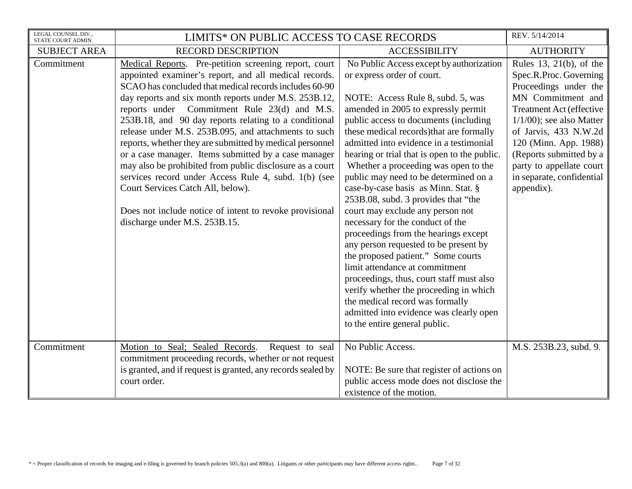| LEGAL COUNSEL DIV.,<br>STATE COURT ADMIN. | LIMITS* ON PUBLIC ACCESS TO CASE RECORDS                                                                                                                                                                                                                                                                                                                                                                                                                                                                                                                                                                                                                                                                                                                                    |                                                                                                                                                                                                                                                                                                                                                                                                                                                                                                                                                                                                                                                                                                                                                                                                                                                                                                                                         | REV. 5/14/2014                                                                                                                                                                                                                                                                                                |
|-------------------------------------------|-----------------------------------------------------------------------------------------------------------------------------------------------------------------------------------------------------------------------------------------------------------------------------------------------------------------------------------------------------------------------------------------------------------------------------------------------------------------------------------------------------------------------------------------------------------------------------------------------------------------------------------------------------------------------------------------------------------------------------------------------------------------------------|-----------------------------------------------------------------------------------------------------------------------------------------------------------------------------------------------------------------------------------------------------------------------------------------------------------------------------------------------------------------------------------------------------------------------------------------------------------------------------------------------------------------------------------------------------------------------------------------------------------------------------------------------------------------------------------------------------------------------------------------------------------------------------------------------------------------------------------------------------------------------------------------------------------------------------------------|---------------------------------------------------------------------------------------------------------------------------------------------------------------------------------------------------------------------------------------------------------------------------------------------------------------|
| <b>SUBJECT AREA</b>                       | <b>RECORD DESCRIPTION</b>                                                                                                                                                                                                                                                                                                                                                                                                                                                                                                                                                                                                                                                                                                                                                   | <b>ACCESSIBILITY</b>                                                                                                                                                                                                                                                                                                                                                                                                                                                                                                                                                                                                                                                                                                                                                                                                                                                                                                                    | <b>AUTHORITY</b>                                                                                                                                                                                                                                                                                              |
| Commitment                                | Medical Reports. Pre-petition screening report, court<br>appointed examiner's report, and all medical records.<br>SCAO has concluded that medical records includes 60-90<br>day reports and six month reports under M.S. 253B.12,<br>reports under Commitment Rule 23(d) and M.S.<br>253B.18, and 90 day reports relating to a conditional<br>release under M.S. 253B.095, and attachments to such<br>reports, whether they are submitted by medical personnel<br>or a case manager. Items submitted by a case manager<br>may also be prohibited from public disclosure as a court<br>services record under Access Rule 4, subd. 1(b) (see<br>Court Services Catch All, below).<br>Does not include notice of intent to revoke provisional<br>discharge under M.S. 253B.15. | No Public Access except by authorization<br>or express order of court.<br>NOTE: Access Rule 8, subd. 5, was<br>amended in 2005 to expressly permit<br>public access to documents (including<br>these medical records) that are formally<br>admitted into evidence in a testimonial<br>hearing or trial that is open to the public.<br>Whether a proceeding was open to the<br>public may need to be determined on a<br>case-by-case basis as Minn. Stat. §<br>253B.08, subd. 3 provides that "the<br>court may exclude any person not<br>necessary for the conduct of the<br>proceedings from the hearings except<br>any person requested to be present by<br>the proposed patient." Some courts<br>limit attendance at commitment<br>proceedings, thus, court staff must also<br>verify whether the proceeding in which<br>the medical record was formally<br>admitted into evidence was clearly open<br>to the entire general public. | Rules 13, 21(b), of the<br>Spec.R.Proc. Governing<br>Proceedings under the<br>MN Commitment and<br>Treatment Act (effective<br>$1/1/00$ ; see also Matter<br>of Jarvis, 433 N.W.2d<br>120 (Minn. App. 1988)<br>(Reports submitted by a<br>party to appellate court<br>in separate, confidential<br>appendix). |
| Commitment                                | Motion to Seal; Sealed Records.<br>Request to seal<br>commitment proceeding records, whether or not request<br>is granted, and if request is granted, any records sealed by<br>court order.                                                                                                                                                                                                                                                                                                                                                                                                                                                                                                                                                                                 | No Public Access.<br>NOTE: Be sure that register of actions on<br>public access mode does not disclose the<br>existence of the motion.                                                                                                                                                                                                                                                                                                                                                                                                                                                                                                                                                                                                                                                                                                                                                                                                  | M.S. 253B.23, subd. 9.                                                                                                                                                                                                                                                                                        |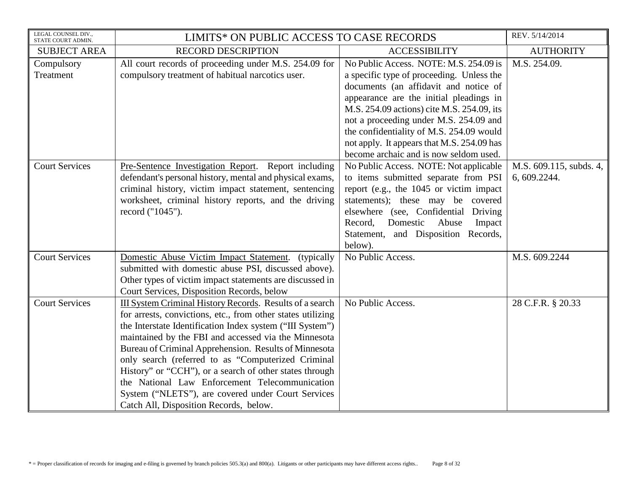| LEGAL COUNSEL DIV.,<br>STATE COURT ADMIN. | LIMITS* ON PUBLIC ACCESS TO CASE RECORDS                                                                                                                                                                                                                                                                                                                                                                                                                                                                                                                                 |                                                                                                                                                                                                                                                                                                                                                                                                     | REV. 5/14/2014                          |
|-------------------------------------------|--------------------------------------------------------------------------------------------------------------------------------------------------------------------------------------------------------------------------------------------------------------------------------------------------------------------------------------------------------------------------------------------------------------------------------------------------------------------------------------------------------------------------------------------------------------------------|-----------------------------------------------------------------------------------------------------------------------------------------------------------------------------------------------------------------------------------------------------------------------------------------------------------------------------------------------------------------------------------------------------|-----------------------------------------|
| <b>SUBJECT AREA</b>                       | <b>RECORD DESCRIPTION</b>                                                                                                                                                                                                                                                                                                                                                                                                                                                                                                                                                | <b>ACCESSIBILITY</b>                                                                                                                                                                                                                                                                                                                                                                                | <b>AUTHORITY</b>                        |
| Compulsory<br>Treatment                   | All court records of proceeding under M.S. 254.09 for<br>compulsory treatment of habitual narcotics user.                                                                                                                                                                                                                                                                                                                                                                                                                                                                | No Public Access. NOTE: M.S. 254.09 is<br>a specific type of proceeding. Unless the<br>documents (an affidavit and notice of<br>appearance are the initial pleadings in<br>M.S. 254.09 actions) cite M.S. 254.09, its<br>not a proceeding under M.S. 254.09 and<br>the confidentiality of M.S. 254.09 would<br>not apply. It appears that M.S. 254.09 has<br>become archaic and is now seldom used. | M.S. 254.09.                            |
| <b>Court Services</b>                     | Pre-Sentence Investigation Report. Report including<br>defendant's personal history, mental and physical exams,<br>criminal history, victim impact statement, sentencing<br>worksheet, criminal history reports, and the driving<br>record ("1045").                                                                                                                                                                                                                                                                                                                     | No Public Access. NOTE: Not applicable<br>to items submitted separate from PSI<br>report (e.g., the 1045 or victim impact<br>statements); these may be covered<br>elsewhere (see, Confidential Driving<br>Record,<br>Domestic<br>Abuse<br>Impact<br>Statement, and Disposition Records,<br>below).                                                                                                  | M.S. 609.115, subds. 4,<br>6, 609.2244. |
| <b>Court Services</b>                     | Domestic Abuse Victim Impact Statement. (typically<br>submitted with domestic abuse PSI, discussed above).<br>Other types of victim impact statements are discussed in<br>Court Services, Disposition Records, below                                                                                                                                                                                                                                                                                                                                                     | No Public Access.                                                                                                                                                                                                                                                                                                                                                                                   | M.S. 609.2244                           |
| <b>Court Services</b>                     | III System Criminal History Records. Results of a search<br>for arrests, convictions, etc., from other states utilizing<br>the Interstate Identification Index system ("III System")<br>maintained by the FBI and accessed via the Minnesota<br>Bureau of Criminal Apprehension. Results of Minnesota<br>only search (referred to as "Computerized Criminal<br>History" or "CCH"), or a search of other states through<br>the National Law Enforcement Telecommunication<br>System ("NLETS"), are covered under Court Services<br>Catch All, Disposition Records, below. | No Public Access.                                                                                                                                                                                                                                                                                                                                                                                   | 28 C.F.R. § 20.33                       |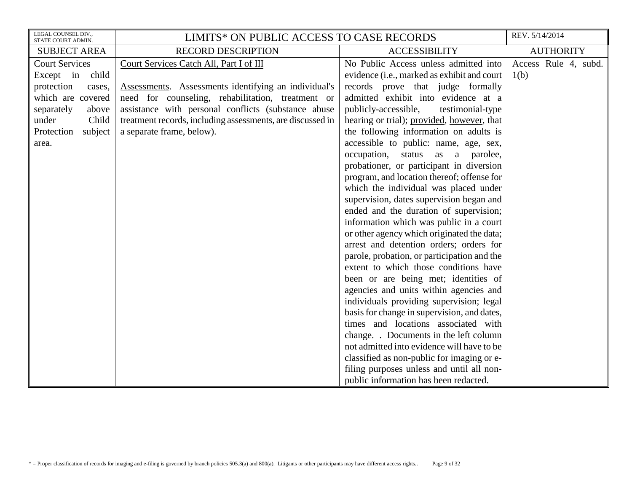| LEGAL COUNSEL DIV.,<br>STATE COURT ADMIN. | LIMITS* ON PUBLIC ACCESS TO CASE RECORDS                   |                                             | REV. 5/14/2014       |
|-------------------------------------------|------------------------------------------------------------|---------------------------------------------|----------------------|
| <b>SUBJECT AREA</b>                       | <b>RECORD DESCRIPTION</b>                                  | <b>ACCESSIBILITY</b>                        | <b>AUTHORITY</b>     |
| <b>Court Services</b>                     | Court Services Catch All, Part I of III                    | No Public Access unless admitted into       | Access Rule 4, subd. |
| Except in<br>child                        |                                                            | evidence (i.e., marked as exhibit and court | 1(b)                 |
| protection<br>cases,                      | Assessments. Assessments identifying an individual's       | records prove that judge formally           |                      |
| which are covered                         | need for counseling, rehabilitation, treatment or          | admitted exhibit into evidence at a         |                      |
| separately<br>above                       | assistance with personal conflicts (substance abuse        | publicly-accessible,<br>testimonial-type    |                      |
| Child<br>under                            | treatment records, including assessments, are discussed in | hearing or trial); provided, however, that  |                      |
| subject<br>Protection                     | a separate frame, below).                                  | the following information on adults is      |                      |
| area.                                     |                                                            | accessible to public: name, age, sex,       |                      |
|                                           |                                                            | occupation,<br>status as a parolee,         |                      |
|                                           |                                                            | probationer, or participant in diversion    |                      |
|                                           |                                                            | program, and location thereof; offense for  |                      |
|                                           |                                                            | which the individual was placed under       |                      |
|                                           |                                                            | supervision, dates supervision began and    |                      |
|                                           |                                                            | ended and the duration of supervision;      |                      |
|                                           |                                                            | information which was public in a court     |                      |
|                                           |                                                            | or other agency which originated the data;  |                      |
|                                           |                                                            | arrest and detention orders; orders for     |                      |
|                                           |                                                            | parole, probation, or participation and the |                      |
|                                           |                                                            | extent to which those conditions have       |                      |
|                                           |                                                            | been or are being met; identities of        |                      |
|                                           |                                                            | agencies and units within agencies and      |                      |
|                                           |                                                            | individuals providing supervision; legal    |                      |
|                                           |                                                            | basis for change in supervision, and dates, |                      |
|                                           |                                                            | times and locations associated with         |                      |
|                                           |                                                            | change. Documents in the left column        |                      |
|                                           |                                                            | not admitted into evidence will have to be  |                      |
|                                           |                                                            | classified as non-public for imaging or e-  |                      |
|                                           |                                                            | filing purposes unless and until all non-   |                      |
|                                           |                                                            | public information has been redacted.       |                      |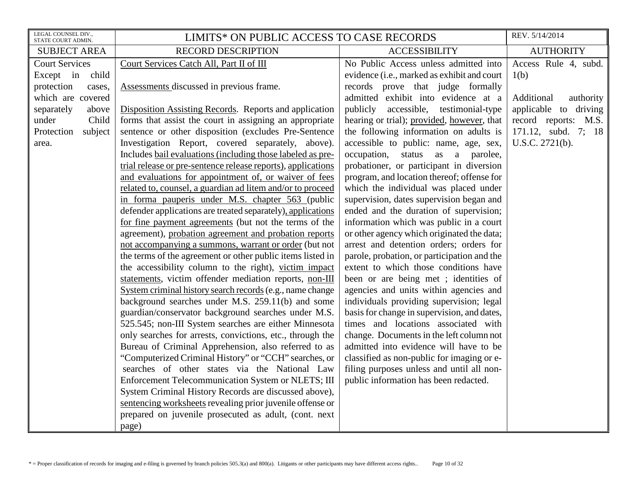| LEGAL COUNSEL DIV.,<br>STATE COURT ADMIN.                                                                                                                           | LIMITS* ON PUBLIC ACCESS TO CASE RECORDS                                                                                                                                                                                                                                                                                                                                                                                                                                                                                                                                                                                        |                                                                                                                                                                                                                                                                                                                                                                                                                                                                                                                                                               | REV. 5/14/2014                                                                                                                                     |
|---------------------------------------------------------------------------------------------------------------------------------------------------------------------|---------------------------------------------------------------------------------------------------------------------------------------------------------------------------------------------------------------------------------------------------------------------------------------------------------------------------------------------------------------------------------------------------------------------------------------------------------------------------------------------------------------------------------------------------------------------------------------------------------------------------------|---------------------------------------------------------------------------------------------------------------------------------------------------------------------------------------------------------------------------------------------------------------------------------------------------------------------------------------------------------------------------------------------------------------------------------------------------------------------------------------------------------------------------------------------------------------|----------------------------------------------------------------------------------------------------------------------------------------------------|
| <b>SUBJECT AREA</b>                                                                                                                                                 | <b>RECORD DESCRIPTION</b>                                                                                                                                                                                                                                                                                                                                                                                                                                                                                                                                                                                                       | <b>ACCESSIBILITY</b>                                                                                                                                                                                                                                                                                                                                                                                                                                                                                                                                          | <b>AUTHORITY</b>                                                                                                                                   |
| <b>Court Services</b><br>child<br>Except in<br>protection<br>cases,<br>which are covered<br>separately<br>above<br>under<br>Child<br>Protection<br>subject<br>area. | Court Services Catch All, Part II of III<br>Assessments discussed in previous frame.<br>Disposition Assisting Records. Reports and application<br>forms that assist the court in assigning an appropriate<br>sentence or other disposition (excludes Pre-Sentence<br>Investigation Report, covered separately, above).<br>Includes bail evaluations (including those labeled as pre-<br>trial release or pre-sentence release reports), applications<br>and evaluations for appointment of, or waiver of fees<br>related to, counsel, a guardian ad litem and/or to proceed<br>in forma pauperis under M.S. chapter 563 (public | No Public Access unless admitted into<br>evidence (i.e., marked as exhibit and court<br>records prove that judge formally<br>admitted exhibit into evidence at a<br>publicly accessible, testimonial-type<br>hearing or trial); provided, however, that<br>the following information on adults is<br>accessible to public: name, age, sex,<br>occupation, status as a parolee,<br>probationer, or participant in diversion<br>program, and location thereof; offense for<br>which the individual was placed under<br>supervision, dates supervision began and | Access Rule 4, subd.<br>1(b)<br>Additional<br>authority<br>applicable to driving<br>record reports: M.S.<br>171.12, subd. 7; 18<br>U.S.C. 2721(b). |
|                                                                                                                                                                     | defender applications are treated separately), applications<br>for fine payment agreements (but not the terms of the<br>agreement), probation agreement and probation reports<br>not accompanying a summons, warrant or order (but not<br>the terms of the agreement or other public items listed in                                                                                                                                                                                                                                                                                                                            | ended and the duration of supervision;<br>information which was public in a court<br>or other agency which originated the data;<br>arrest and detention orders; orders for<br>parole, probation, or participation and the                                                                                                                                                                                                                                                                                                                                     |                                                                                                                                                    |
|                                                                                                                                                                     | the accessibility column to the right), victim impact<br>statements, victim offender mediation reports, non-III<br>System criminal history search records (e.g., name change<br>background searches under M.S. 259.11(b) and some<br>guardian/conservator background searches under M.S.<br>525.545; non-III System searches are either Minnesota                                                                                                                                                                                                                                                                               | extent to which those conditions have<br>been or are being met; identities of<br>agencies and units within agencies and<br>individuals providing supervision; legal<br>basis for change in supervision, and dates,<br>times and locations associated with                                                                                                                                                                                                                                                                                                     |                                                                                                                                                    |
|                                                                                                                                                                     | only searches for arrests, convictions, etc., through the<br>Bureau of Criminal Apprehension, also referred to as<br>"Computerized Criminal History" or "CCH" searches, or<br>searches of other states via the National Law<br>Enforcement Telecommunication System or NLETS; III<br>System Criminal History Records are discussed above),<br>sentencing worksheets revealing prior juvenile offense or<br>prepared on juvenile prosecuted as adult, (cont. next<br>page)                                                                                                                                                       | change. Documents in the left column not<br>admitted into evidence will have to be<br>classified as non-public for imaging or e-<br>filing purposes unless and until all non-<br>public information has been redacted.                                                                                                                                                                                                                                                                                                                                        |                                                                                                                                                    |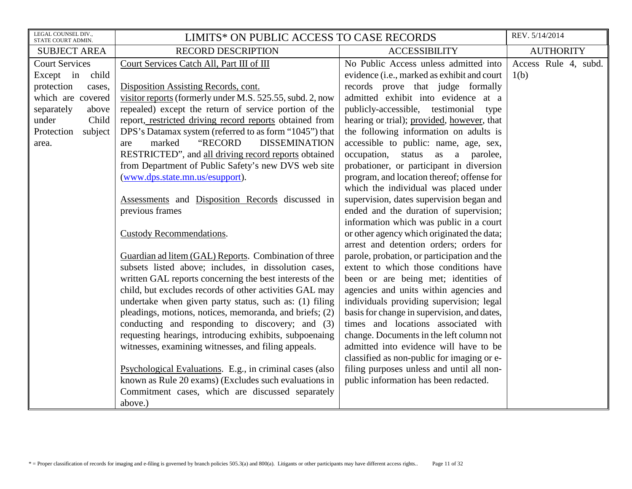| LEGAL COUNSEL DIV.,<br>STATE COURT ADMIN.   | LIMITS* ON PUBLIC ACCESS TO CASE RECORDS                  |                                                                                       | REV. 5/14/2014               |
|---------------------------------------------|-----------------------------------------------------------|---------------------------------------------------------------------------------------|------------------------------|
| <b>SUBJECT AREA</b>                         | <b>RECORD DESCRIPTION</b>                                 | <b>ACCESSIBILITY</b>                                                                  | <b>AUTHORITY</b>             |
| <b>Court Services</b><br>child<br>Except in | Court Services Catch All, Part III of III                 | No Public Access unless admitted into<br>evidence (i.e., marked as exhibit and court  | Access Rule 4, subd.<br>1(b) |
| protection<br>cases,                        | Disposition Assisting Records, cont.                      | records prove that judge formally                                                     |                              |
| which are covered                           | visitor reports (formerly under M.S. 525.55, subd. 2, now | admitted exhibit into evidence at a                                                   |                              |
| separately<br>above                         | repealed) except the return of service portion of the     | publicly-accessible, testimonial type                                                 |                              |
| under<br>Child                              | report, restricted driving record reports obtained from   | hearing or trial); provided, however, that                                            |                              |
| Protection<br>subject                       | DPS's Datamax system (referred to as form "1045") that    | the following information on adults is                                                |                              |
| area.                                       | "RECORD<br><b>DISSEMINATION</b><br>marked<br>are          | accessible to public: name, age, sex,                                                 |                              |
|                                             | RESTRICTED", and all driving record reports obtained      | occupation, status as a parolee,                                                      |                              |
|                                             | from Department of Public Safety's new DVS web site       | probationer, or participant in diversion                                              |                              |
|                                             | (www.dps.state.mn.us/esupport).                           | program, and location thereof; offense for                                            |                              |
|                                             |                                                           | which the individual was placed under                                                 |                              |
|                                             | Assessments and Disposition Records discussed in          | supervision, dates supervision began and                                              |                              |
|                                             | previous frames                                           | ended and the duration of supervision;                                                |                              |
|                                             | <b>Custody Recommendations.</b>                           | information which was public in a court<br>or other agency which originated the data; |                              |
|                                             |                                                           | arrest and detention orders; orders for                                               |                              |
|                                             | Guardian ad litem (GAL) Reports. Combination of three     | parole, probation, or participation and the                                           |                              |
|                                             | subsets listed above; includes, in dissolution cases,     | extent to which those conditions have                                                 |                              |
|                                             | written GAL reports concerning the best interests of the  | been or are being met; identities of                                                  |                              |
|                                             | child, but excludes records of other activities GAL may   | agencies and units within agencies and                                                |                              |
|                                             | undertake when given party status, such as: (1) filing    | individuals providing supervision; legal                                              |                              |
|                                             | pleadings, motions, notices, memoranda, and briefs; (2)   | basis for change in supervision, and dates,                                           |                              |
|                                             | conducting and responding to discovery; and (3)           | times and locations associated with                                                   |                              |
|                                             | requesting hearings, introducing exhibits, subpoenaing    | change. Documents in the left column not                                              |                              |
|                                             | witnesses, examining witnesses, and filing appeals.       | admitted into evidence will have to be                                                |                              |
|                                             |                                                           | classified as non-public for imaging or e-                                            |                              |
|                                             | Psychological Evaluations. E.g., in criminal cases (also  | filing purposes unless and until all non-                                             |                              |
|                                             | known as Rule 20 exams) (Excludes such evaluations in     | public information has been redacted.                                                 |                              |
|                                             | Commitment cases, which are discussed separately          |                                                                                       |                              |
|                                             | above.)                                                   |                                                                                       |                              |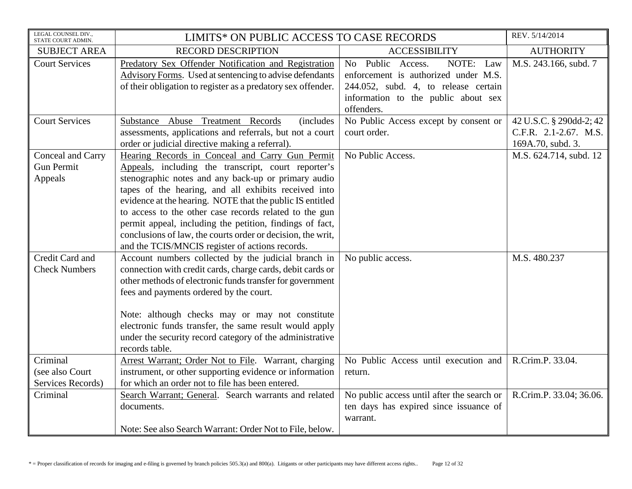| LEGAL COUNSEL DIV.,<br>STATE COURT ADMIN.         | LIMITS* ON PUBLIC ACCESS TO CASE RECORDS                                                                                                                                                                                                                                                                                                                                                                                                                                                                                   |                                                                                                                                                                     | REV. 5/14/2014                                                        |
|---------------------------------------------------|----------------------------------------------------------------------------------------------------------------------------------------------------------------------------------------------------------------------------------------------------------------------------------------------------------------------------------------------------------------------------------------------------------------------------------------------------------------------------------------------------------------------------|---------------------------------------------------------------------------------------------------------------------------------------------------------------------|-----------------------------------------------------------------------|
| <b>SUBJECT AREA</b>                               | <b>RECORD DESCRIPTION</b>                                                                                                                                                                                                                                                                                                                                                                                                                                                                                                  | <b>ACCESSIBILITY</b>                                                                                                                                                | <b>AUTHORITY</b>                                                      |
| <b>Court Services</b>                             | Predatory Sex Offender Notification and Registration<br>Advisory Forms. Used at sentencing to advise defendants<br>of their obligation to register as a predatory sex offender.                                                                                                                                                                                                                                                                                                                                            | NOTE: Law<br>No Public Access.<br>enforcement is authorized under M.S.<br>244.052, subd. 4, to release certain<br>information to the public about sex<br>offenders. | M.S. 243.166, subd. 7                                                 |
| <b>Court Services</b>                             | Substance Abuse Treatment Records<br><i>(includes)</i><br>assessments, applications and referrals, but not a court<br>order or judicial directive making a referral).                                                                                                                                                                                                                                                                                                                                                      | No Public Access except by consent or<br>court order.                                                                                                               | 42 U.S.C. § 290dd-2; 42<br>C.F.R. 2.1-2.67. M.S.<br>169A.70, subd. 3. |
| Conceal and Carry<br><b>Gun Permit</b><br>Appeals | Hearing Records in Conceal and Carry Gun Permit<br>Appeals, including the transcript, court reporter's<br>stenographic notes and any back-up or primary audio<br>tapes of the hearing, and all exhibits received into<br>evidence at the hearing. NOTE that the public IS entitled<br>to access to the other case records related to the gun<br>permit appeal, including the petition, findings of fact,<br>conclusions of law, the courts order or decision, the writ,<br>and the TCIS/MNCIS register of actions records. | No Public Access.                                                                                                                                                   | M.S. 624.714, subd. 12                                                |
| Credit Card and<br><b>Check Numbers</b>           | Account numbers collected by the judicial branch in<br>connection with credit cards, charge cards, debit cards or<br>other methods of electronic funds transfer for government<br>fees and payments ordered by the court.<br>Note: although checks may or may not constitute<br>electronic funds transfer, the same result would apply<br>under the security record category of the administrative<br>records table.                                                                                                       | No public access.                                                                                                                                                   | M.S. 480.237                                                          |
| Criminal<br>(see also Court<br>Services Records)  | Arrest Warrant; Order Not to File. Warrant, charging<br>instrument, or other supporting evidence or information<br>for which an order not to file has been entered.                                                                                                                                                                                                                                                                                                                                                        | No Public Access until execution and<br>return.                                                                                                                     | R.Crim.P. 33.04.                                                      |
| Criminal                                          | Search Warrant; General. Search warrants and related<br>documents.<br>Note: See also Search Warrant: Order Not to File, below.                                                                                                                                                                                                                                                                                                                                                                                             | No public access until after the search or<br>ten days has expired since issuance of<br>warrant.                                                                    | R.Crim.P. 33.04; 36.06.                                               |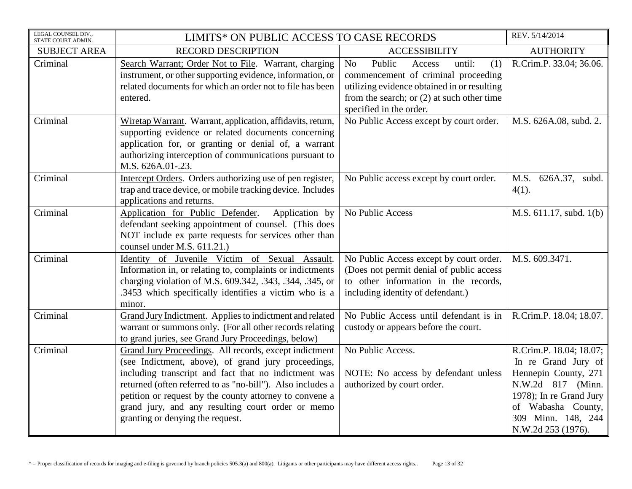| LEGAL COUNSEL DIV.,<br>STATE COURT ADMIN. | LIMITS* ON PUBLIC ACCESS TO CASE RECORDS                                                                                                                                                                                                                                                                                                                                                |                                                                                                                                                                                                          | REV. 5/14/2014                                                                                                                                                                           |
|-------------------------------------------|-----------------------------------------------------------------------------------------------------------------------------------------------------------------------------------------------------------------------------------------------------------------------------------------------------------------------------------------------------------------------------------------|----------------------------------------------------------------------------------------------------------------------------------------------------------------------------------------------------------|------------------------------------------------------------------------------------------------------------------------------------------------------------------------------------------|
| <b>SUBJECT AREA</b>                       | <b>RECORD DESCRIPTION</b>                                                                                                                                                                                                                                                                                                                                                               | <b>ACCESSIBILITY</b>                                                                                                                                                                                     | <b>AUTHORITY</b>                                                                                                                                                                         |
| Criminal                                  | Search Warrant; Order Not to File. Warrant, charging<br>instrument, or other supporting evidence, information, or<br>related documents for which an order not to file has been<br>entered.                                                                                                                                                                                              | Public<br>No<br>Access<br>until:<br>(1)<br>commencement of criminal proceeding<br>utilizing evidence obtained in or resulting<br>from the search; or $(2)$ at such other time<br>specified in the order. | R.Crim.P. 33.04; 36.06.                                                                                                                                                                  |
| Criminal                                  | Wiretap Warrant. Warrant, application, affidavits, return,<br>supporting evidence or related documents concerning<br>application for, or granting or denial of, a warrant<br>authorizing interception of communications pursuant to<br>M.S. 626A.01-.23.                                                                                                                                | No Public Access except by court order.                                                                                                                                                                  | M.S. 626A.08, subd. 2.                                                                                                                                                                   |
| Criminal                                  | Intercept Orders. Orders authorizing use of pen register,<br>trap and trace device, or mobile tracking device. Includes<br>applications and returns.                                                                                                                                                                                                                                    | No Public access except by court order.                                                                                                                                                                  | M.S. 626A.37, subd.<br>$4(1)$ .                                                                                                                                                          |
| Criminal                                  | Application for Public Defender.<br>Application by<br>defendant seeking appointment of counsel. (This does<br>NOT include ex parte requests for services other than<br>counsel under M.S. 611.21.)                                                                                                                                                                                      | No Public Access                                                                                                                                                                                         | M.S. 611.17, subd. 1(b)                                                                                                                                                                  |
| Criminal                                  | Identity of Juvenile Victim of Sexual<br>Assault.<br>Information in, or relating to, complaints or indictments<br>charging violation of M.S. 609.342, .343, .344, .345, or<br>.3453 which specifically identifies a victim who is a<br>minor.                                                                                                                                           | No Public Access except by court order.<br>(Does not permit denial of public access<br>to other information in the records,<br>including identity of defendant.)                                         | M.S. 609.3471.                                                                                                                                                                           |
| Criminal                                  | Grand Jury Indictment. Applies to indictment and related<br>warrant or summons only. (For all other records relating<br>to grand juries, see Grand Jury Proceedings, below)                                                                                                                                                                                                             | No Public Access until defendant is in<br>custody or appears before the court.                                                                                                                           | R.Crim.P. 18.04; 18.07.                                                                                                                                                                  |
| Criminal                                  | Grand Jury Proceedings. All records, except indictment<br>(see Indictment, above), of grand jury proceedings,<br>including transcript and fact that no indictment was<br>returned (often referred to as "no-bill"). Also includes a<br>petition or request by the county attorney to convene a<br>grand jury, and any resulting court order or memo<br>granting or denying the request. | No Public Access.<br>NOTE: No access by defendant unless<br>authorized by court order.                                                                                                                   | R.Crim.P. 18.04; 18.07;<br>In re Grand Jury of<br>Hennepin County, 271<br>N.W.2d 817 (Minn.<br>1978); In re Grand Jury<br>of Wabasha County,<br>309 Minn. 148, 244<br>N.W.2d 253 (1976). |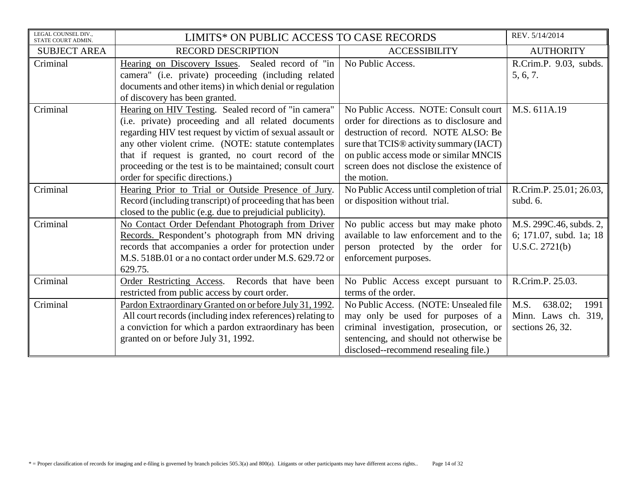| LEGAL COUNSEL DIV.,<br>STATE COURT ADMIN. | LIMITS* ON PUBLIC ACCESS TO CASE RECORDS                                                                                                                                                                                                                                                                                                                                               |                                                                                                                                                                                                                                                                                         | REV. 5/14/2014                                                       |
|-------------------------------------------|----------------------------------------------------------------------------------------------------------------------------------------------------------------------------------------------------------------------------------------------------------------------------------------------------------------------------------------------------------------------------------------|-----------------------------------------------------------------------------------------------------------------------------------------------------------------------------------------------------------------------------------------------------------------------------------------|----------------------------------------------------------------------|
| <b>SUBJECT AREA</b>                       | <b>RECORD DESCRIPTION</b>                                                                                                                                                                                                                                                                                                                                                              | <b>ACCESSIBILITY</b>                                                                                                                                                                                                                                                                    | <b>AUTHORITY</b>                                                     |
| Criminal                                  | Hearing on Discovery Issues. Sealed record of "in<br>camera" (i.e. private) proceeding (including related<br>documents and other items) in which denial or regulation                                                                                                                                                                                                                  | No Public Access.                                                                                                                                                                                                                                                                       | R.Crim.P. 9.03, subds.<br>5, 6, 7.                                   |
|                                           | of discovery has been granted.                                                                                                                                                                                                                                                                                                                                                         |                                                                                                                                                                                                                                                                                         |                                                                      |
| Criminal                                  | Hearing on HIV Testing. Sealed record of "in camera"<br>(i.e. private) proceeding and all related documents<br>regarding HIV test request by victim of sexual assault or<br>any other violent crime. (NOTE: statute contemplates<br>that if request is granted, no court record of the<br>proceeding or the test is to be maintained; consult court<br>order for specific directions.) | No Public Access. NOTE: Consult court<br>order for directions as to disclosure and<br>destruction of record. NOTE ALSO: Be<br>sure that TCIS <sup>®</sup> activity summary (IACT)<br>on public access mode or similar MNCIS<br>screen does not disclose the existence of<br>the motion. | M.S. 611A.19                                                         |
| Criminal                                  | Hearing Prior to Trial or Outside Presence of Jury.<br>Record (including transcript) of proceeding that has been<br>closed to the public (e.g. due to prejudicial publicity).                                                                                                                                                                                                          | No Public Access until completion of trial<br>or disposition without trial.                                                                                                                                                                                                             | R.Crim.P. 25.01; 26.03,<br>subd. 6.                                  |
| Criminal                                  | No Contact Order Defendant Photograph from Driver<br>Records. Respondent's photograph from MN driving<br>records that accompanies a order for protection under<br>M.S. 518B.01 or a no contact order under M.S. 629.72 or<br>629.75.                                                                                                                                                   | No public access but may make photo<br>available to law enforcement and to the<br>person protected by the order for<br>enforcement purposes.                                                                                                                                            | M.S. 299C.46, subds. 2,<br>6; 171.07, subd. 1a; 18<br>U.S.C. 2721(b) |
| Criminal                                  | Order Restricting Access.<br>Records that have been<br>restricted from public access by court order.                                                                                                                                                                                                                                                                                   | No Public Access except pursuant to<br>terms of the order.                                                                                                                                                                                                                              | R.Crim.P. 25.03.                                                     |
| Criminal                                  | Pardon Extraordinary Granted on or before July 31, 1992.<br>All court records (including index references) relating to<br>a conviction for which a pardon extraordinary has been<br>granted on or before July 31, 1992.                                                                                                                                                                | No Public Access. (NOTE: Unsealed file<br>may only be used for purposes of a<br>criminal investigation, prosecution, or<br>sentencing, and should not otherwise be<br>disclosed--recommend resealing file.)                                                                             | M.S.<br>638.02;<br>1991<br>Minn. Laws ch. 319,<br>sections 26, 32.   |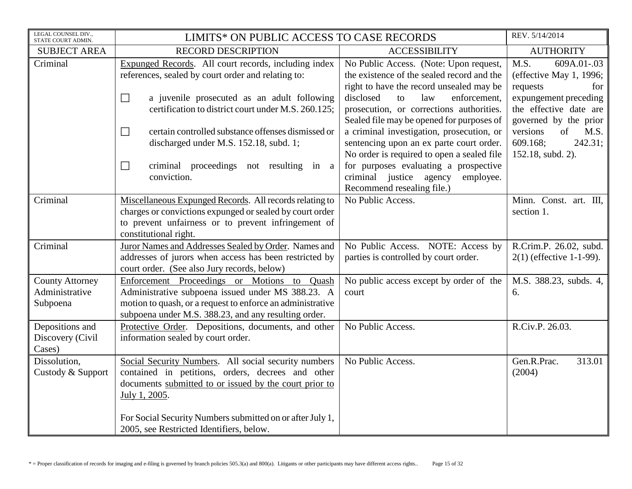| LEGAL COUNSEL DIV.,<br>STATE COURT ADMIN.            | LIMITS* ON PUBLIC ACCESS TO CASE RECORDS                                                                                                                                                                               |                                                                                                                                     | REV. 5/14/2014                                                           |
|------------------------------------------------------|------------------------------------------------------------------------------------------------------------------------------------------------------------------------------------------------------------------------|-------------------------------------------------------------------------------------------------------------------------------------|--------------------------------------------------------------------------|
| <b>SUBJECT AREA</b>                                  | <b>RECORD DESCRIPTION</b>                                                                                                                                                                                              | <b>ACCESSIBILITY</b>                                                                                                                | <b>AUTHORITY</b>                                                         |
| Criminal                                             | Expunged Records. All court records, including index<br>references, sealed by court order and relating to:                                                                                                             | No Public Access. (Note: Upon request,<br>the existence of the sealed record and the<br>right to have the record unsealed may be    | M.S.<br>609A.01-.03<br>(effective May 1, 1996;<br>requests<br>for        |
|                                                      | $\Box$<br>a juvenile prosecuted as an adult following<br>certification to district court under M.S. 260.125;                                                                                                           | disclosed<br>law<br>enforcement.<br>to<br>prosecution, or corrections authorities.<br>Sealed file may be opened for purposes of     | expungement preceding<br>the effective date are<br>governed by the prior |
|                                                      | certain controlled substance offenses dismissed or<br>$\Box$<br>discharged under M.S. 152.18, subd. 1;                                                                                                                 | a criminal investigation, prosecution, or<br>sentencing upon an ex parte court order.<br>No order is required to open a sealed file | versions<br>of<br>M.S.<br>609.168;<br>242.31;<br>152.18, subd. 2).       |
|                                                      | criminal proceedings not resulting in a<br>$\Box$<br>conviction.                                                                                                                                                       | for purposes evaluating a prospective<br>criminal justice agency<br>employee.<br>Recommend resealing file.)                         |                                                                          |
| Criminal                                             | Miscellaneous Expunged Records. All records relating to<br>charges or convictions expunged or sealed by court order<br>to prevent unfairness or to prevent infringement of<br>constitutional right.                    | No Public Access.                                                                                                                   | Minn. Const. art. III,<br>section 1.                                     |
| Criminal                                             | Juror Names and Addresses Sealed by Order. Names and<br>addresses of jurors when access has been restricted by<br>court order. (See also Jury records, below)                                                          | No Public Access. NOTE: Access by<br>parties is controlled by court order.                                                          | R.Crim.P. 26.02, subd.<br>$2(1)$ (effective 1-1-99).                     |
| <b>County Attorney</b><br>Administrative<br>Subpoena | Enforcement Proceedings or Motions to Quash<br>Administrative subpoena issued under MS 388.23. A<br>motion to quash, or a request to enforce an administrative<br>subpoena under M.S. 388.23, and any resulting order. | No public access except by order of the<br>court                                                                                    | M.S. 388.23, subds. 4,<br>6.                                             |
| Depositions and<br>Discovery (Civil<br>Cases)        | Protective Order. Depositions, documents, and other<br>information sealed by court order.                                                                                                                              | No Public Access.                                                                                                                   | R.Civ.P. 26.03.                                                          |
| Dissolution,<br>Custody & Support                    | Social Security Numbers. All social security numbers<br>contained in petitions, orders, decrees and other<br>documents submitted to or issued by the court prior to<br>July 1, 2005.                                   | No Public Access.                                                                                                                   | Gen.R.Prac.<br>313.01<br>(2004)                                          |
|                                                      | For Social Security Numbers submitted on or after July 1,<br>2005, see Restricted Identifiers, below.                                                                                                                  |                                                                                                                                     |                                                                          |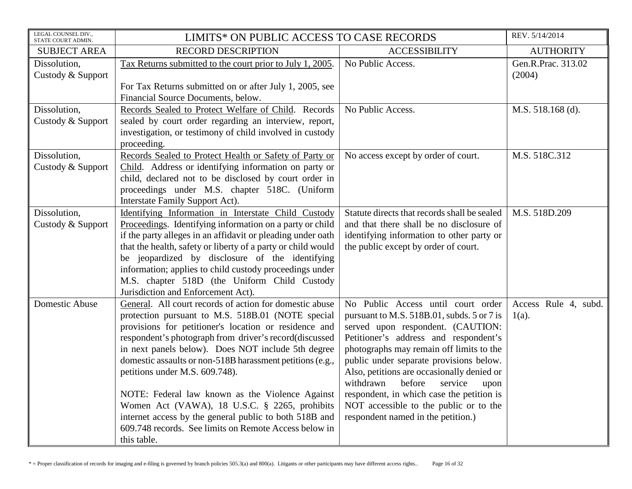| LEGAL COUNSEL DIV.,<br>STATE COURT ADMIN. | LIMITS* ON PUBLIC ACCESS TO CASE RECORDS                                                                                                                                                                                                                                                                                                                                                                                                                                                                                                                                                                                   |                                                                                                                                                                                                                                                                                                                                                                                                                                                                            | REV. 5/14/2014                   |
|-------------------------------------------|----------------------------------------------------------------------------------------------------------------------------------------------------------------------------------------------------------------------------------------------------------------------------------------------------------------------------------------------------------------------------------------------------------------------------------------------------------------------------------------------------------------------------------------------------------------------------------------------------------------------------|----------------------------------------------------------------------------------------------------------------------------------------------------------------------------------------------------------------------------------------------------------------------------------------------------------------------------------------------------------------------------------------------------------------------------------------------------------------------------|----------------------------------|
| <b>SUBJECT AREA</b>                       | <b>RECORD DESCRIPTION</b>                                                                                                                                                                                                                                                                                                                                                                                                                                                                                                                                                                                                  | <b>ACCESSIBILITY</b>                                                                                                                                                                                                                                                                                                                                                                                                                                                       | <b>AUTHORITY</b>                 |
| Dissolution,<br>Custody & Support         | Tax Returns submitted to the court prior to July 1, 2005.<br>For Tax Returns submitted on or after July 1, 2005, see<br>Financial Source Documents, below.                                                                                                                                                                                                                                                                                                                                                                                                                                                                 | No Public Access.                                                                                                                                                                                                                                                                                                                                                                                                                                                          | Gen.R.Prac. 313.02<br>(2004)     |
| Dissolution,<br>Custody & Support         | Records Sealed to Protect Welfare of Child. Records<br>sealed by court order regarding an interview, report,<br>investigation, or testimony of child involved in custody<br>proceeding.                                                                                                                                                                                                                                                                                                                                                                                                                                    | No Public Access.                                                                                                                                                                                                                                                                                                                                                                                                                                                          | M.S. 518.168 (d).                |
| Dissolution,<br>Custody & Support         | Records Sealed to Protect Health or Safety of Party or<br>Child. Address or identifying information on party or<br>child, declared not to be disclosed by court order in<br>proceedings under M.S. chapter 518C. (Uniform<br>Interstate Family Support Act).                                                                                                                                                                                                                                                                                                                                                               | No access except by order of court.                                                                                                                                                                                                                                                                                                                                                                                                                                        | M.S. 518C.312                    |
| Dissolution,<br>Custody & Support         | Identifying Information in Interstate Child Custody<br>Proceedings. Identifying information on a party or child<br>if the party alleges in an affidavit or pleading under oath<br>that the health, safety or liberty of a party or child would<br>be jeopardized by disclosure of the identifying<br>information; applies to child custody proceedings under<br>M.S. chapter 518D (the Uniform Child Custody<br>Jurisdiction and Enforcement Act).                                                                                                                                                                         | Statute directs that records shall be sealed<br>and that there shall be no disclosure of<br>identifying information to other party or<br>the public except by order of court.                                                                                                                                                                                                                                                                                              | M.S. 518D.209                    |
| <b>Domestic Abuse</b>                     | General. All court records of action for domestic abuse<br>protection pursuant to M.S. 518B.01 (NOTE special<br>provisions for petitioner's location or residence and<br>respondent's photograph from driver's record(discussed<br>in next panels below). Does NOT include 5th degree<br>domestic assaults or non-518B harassment petitions (e.g.,<br>petitions under M.S. 609.748).<br>NOTE: Federal law known as the Violence Against<br>Women Act (VAWA), 18 U.S.C. § 2265, prohibits<br>internet access by the general public to both 518B and<br>609.748 records. See limits on Remote Access below in<br>this table. | No Public Access until court order<br>pursuant to M.S. 518B.01, subds. 5 or 7 is<br>served upon respondent. (CAUTION:<br>Petitioner's address and respondent's<br>photographs may remain off limits to the<br>public under separate provisions below.<br>Also, petitions are occasionally denied or<br>withdrawn<br>before<br>service<br>upon<br>respondent, in which case the petition is<br>NOT accessible to the public or to the<br>respondent named in the petition.) | Access Rule 4, subd.<br>$1(a)$ . |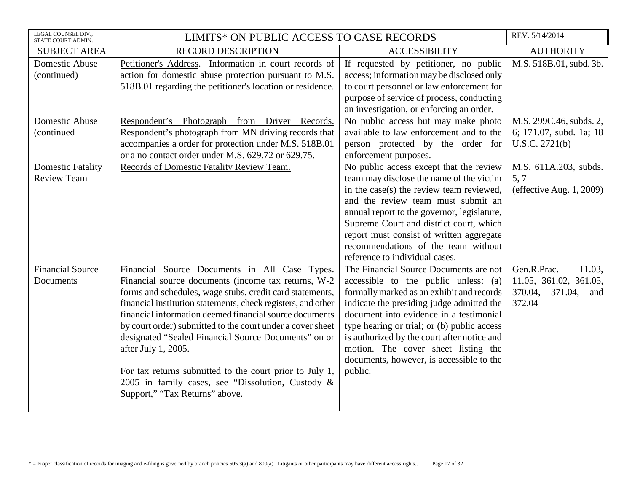| LEGAL COUNSEL DIV.,<br>STATE COURT ADMIN.      | LIMITS* ON PUBLIC ACCESS TO CASE RECORDS                                                                                                                                                                                                                                                                                                                                                                                                                                                                                                                                                   |                                                                                                                                                                                                                                                                                                                                                                                                                 | REV. 5/14/2014                                                                         |
|------------------------------------------------|--------------------------------------------------------------------------------------------------------------------------------------------------------------------------------------------------------------------------------------------------------------------------------------------------------------------------------------------------------------------------------------------------------------------------------------------------------------------------------------------------------------------------------------------------------------------------------------------|-----------------------------------------------------------------------------------------------------------------------------------------------------------------------------------------------------------------------------------------------------------------------------------------------------------------------------------------------------------------------------------------------------------------|----------------------------------------------------------------------------------------|
| <b>SUBJECT AREA</b>                            | <b>RECORD DESCRIPTION</b>                                                                                                                                                                                                                                                                                                                                                                                                                                                                                                                                                                  | <b>ACCESSIBILITY</b>                                                                                                                                                                                                                                                                                                                                                                                            | <b>AUTHORITY</b>                                                                       |
| Domestic Abuse<br>(continued)                  | Petitioner's Address. Information in court records of<br>action for domestic abuse protection pursuant to M.S.<br>518B.01 regarding the petitioner's location or residence.                                                                                                                                                                                                                                                                                                                                                                                                                | If requested by petitioner, no public<br>access; information may be disclosed only<br>to court personnel or law enforcement for<br>purpose of service of process, conducting<br>an investigation, or enforcing an order.                                                                                                                                                                                        | M.S. 518B.01, subd. 3b.                                                                |
| Domestic Abuse<br>(continued                   | Respondent's Photograph from Driver Records.<br>Respondent's photograph from MN driving records that<br>accompanies a order for protection under M.S. 518B.01<br>or a no contact order under M.S. 629.72 or 629.75.                                                                                                                                                                                                                                                                                                                                                                        | No public access but may make photo<br>available to law enforcement and to the<br>person protected by the order for<br>enforcement purposes.                                                                                                                                                                                                                                                                    | M.S. 299C.46, subds. 2,<br>6; 171.07, subd. 1a; 18<br>U.S.C. 2721(b)                   |
| <b>Domestic Fatality</b><br><b>Review Team</b> | Records of Domestic Fatality Review Team.                                                                                                                                                                                                                                                                                                                                                                                                                                                                                                                                                  | No public access except that the review<br>team may disclose the name of the victim<br>in the case(s) the review team reviewed,<br>and the review team must submit an<br>annual report to the governor, legislature,<br>Supreme Court and district court, which<br>report must consist of written aggregate<br>recommendations of the team without<br>reference to individual cases.                            | M.S. 611A.203, subds.<br>5.7<br>(effective Aug. $1, 2009$ )                            |
| <b>Financial Source</b><br>Documents           | Financial Source Documents in All Case Types.<br>Financial source documents (income tax returns, W-2<br>forms and schedules, wage stubs, credit card statements,<br>financial institution statements, check registers, and other<br>financial information deemed financial source documents<br>by court order) submitted to the court under a cover sheet<br>designated "Sealed Financial Source Documents" on or<br>after July 1, 2005.<br>For tax returns submitted to the court prior to July 1,<br>2005 in family cases, see "Dissolution, Custody &<br>Support," "Tax Returns" above. | The Financial Source Documents are not<br>accessible to the public unless: (a)<br>formally marked as an exhibit and records<br>indicate the presiding judge admitted the<br>document into evidence in a testimonial<br>type hearing or trial; or (b) public access<br>is authorized by the court after notice and<br>motion. The cover sheet listing the<br>documents, however, is accessible to the<br>public. | Gen.R.Prac.<br>11.03,<br>11.05, 361.02, 361.05,<br>370.04,<br>371.04,<br>and<br>372.04 |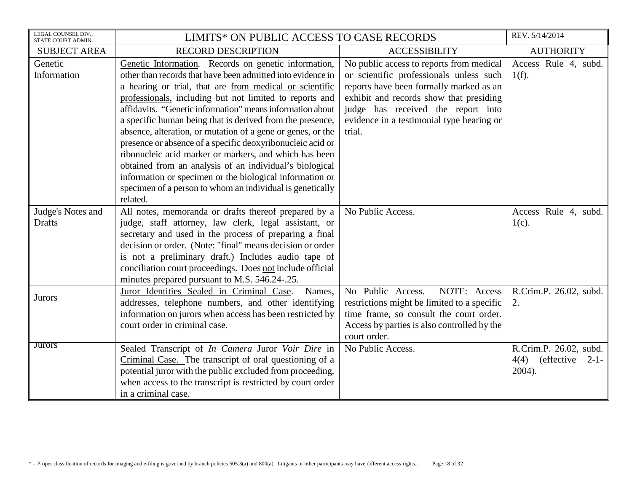| LEGAL COUNSEL DIV.,<br>STATE COURT ADMIN. | LIMITS* ON PUBLIC ACCESS TO CASE RECORDS                    |                                             | REV. 5/14/2014         |
|-------------------------------------------|-------------------------------------------------------------|---------------------------------------------|------------------------|
| <b>SUBJECT AREA</b>                       | <b>RECORD DESCRIPTION</b>                                   | <b>ACCESSIBILITY</b>                        | <b>AUTHORITY</b>       |
| Genetic                                   | Genetic Information. Records on genetic information,        | No public access to reports from medical    | Access Rule 4, subd.   |
| Information                               | other than records that have been admitted into evidence in | or scientific professionals unless such     | $1(f)$ .               |
|                                           | a hearing or trial, that are from medical or scientific     | reports have been formally marked as an     |                        |
|                                           | professionals, including but not limited to reports and     | exhibit and records show that presiding     |                        |
|                                           | affidavits. "Genetic information" means information about   | judge has received the report into          |                        |
|                                           | a specific human being that is derived from the presence,   | evidence in a testimonial type hearing or   |                        |
|                                           | absence, alteration, or mutation of a gene or genes, or the | trial.                                      |                        |
|                                           | presence or absence of a specific deoxyribonucleic acid or  |                                             |                        |
|                                           | ribonucleic acid marker or markers, and which has been      |                                             |                        |
|                                           | obtained from an analysis of an individual's biological     |                                             |                        |
|                                           | information or specimen or the biological information or    |                                             |                        |
|                                           | specimen of a person to whom an individual is genetically   |                                             |                        |
|                                           | related.                                                    |                                             |                        |
| Judge's Notes and                         | All notes, memoranda or drafts thereof prepared by a        | No Public Access.                           | Access Rule 4, subd.   |
| <b>Drafts</b>                             | judge, staff attorney, law clerk, legal assistant, or       |                                             | $1(c)$ .               |
|                                           | secretary and used in the process of preparing a final      |                                             |                        |
|                                           | decision or order. (Note: "final" means decision or order   |                                             |                        |
|                                           | is not a preliminary draft.) Includes audio tape of         |                                             |                        |
|                                           | conciliation court proceedings. Does not include official   |                                             |                        |
|                                           | minutes prepared pursuant to M.S. 546.24-.25.               |                                             |                        |
| <b>Jurors</b>                             | Juror Identities Sealed in Criminal Case.<br>Names,         | NOTE: Access<br>No Public Access.           | R.Crim.P. 26.02, subd. |
|                                           | addresses, telephone numbers, and other identifying         | restrictions might be limited to a specific | 2.                     |
|                                           | information on jurors when access has been restricted by    | time frame, so consult the court order.     |                        |
|                                           | court order in criminal case.                               | Access by parties is also controlled by the |                        |
|                                           |                                                             | court order.                                |                        |
| <b>Jurors</b>                             | Sealed Transcript of In Camera Juror Voir Dire in           | No Public Access.                           | R.Crim.P. 26.02, subd. |
|                                           | Criminal Case. The transcript of oral questioning of a      |                                             | $4(4)$ (effective 2-1- |
|                                           | potential juror with the public excluded from proceeding,   |                                             | 2004).                 |
|                                           | when access to the transcript is restricted by court order  |                                             |                        |
|                                           | in a criminal case.                                         |                                             |                        |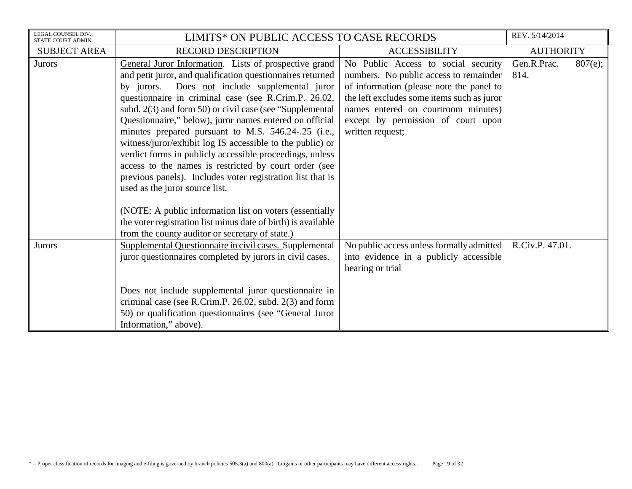| LEGAL COUNSEL DIV.,<br>STATE COURT ADMIN. | LIMITS* ON PUBLIC ACCESS TO CASE RECORDS                      |                                            | REV. 5/14/2014         |  |
|-------------------------------------------|---------------------------------------------------------------|--------------------------------------------|------------------------|--|
| <b>SUBJECT AREA</b>                       | <b>RECORD DESCRIPTION</b>                                     | <b>ACCESSIBILITY</b>                       | <b>AUTHORITY</b>       |  |
| Jurors                                    | General Juror Information. Lists of prospective grand         | No Public Access to social security        | Gen.R.Prac.<br>807(e); |  |
|                                           | and petit juror, and qualification questionnaires returned    | numbers. No public access to remainder     | 814.                   |  |
|                                           | by jurors. Does not include supplemental juror                | of information (please note the panel to   |                        |  |
|                                           | questionnaire in criminal case (see R.Crim.P. 26.02,          | the left excludes some items such as juror |                        |  |
|                                           | subd. 2(3) and form 50) or civil case (see "Supplemental      | names entered on courtroom minutes)        |                        |  |
|                                           | Questionnaire," below), juror names entered on official       | except by permission of court upon         |                        |  |
|                                           | minutes prepared pursuant to M.S. 546.24-.25 (i.e.,           | written request;                           |                        |  |
|                                           | witness/juror/exhibit log IS accessible to the public) or     |                                            |                        |  |
|                                           | verdict forms in publicly accessible proceedings, unless      |                                            |                        |  |
|                                           | access to the names is restricted by court order (see         |                                            |                        |  |
|                                           | previous panels). Includes voter registration list that is    |                                            |                        |  |
|                                           | used as the juror source list.                                |                                            |                        |  |
|                                           | (NOTE: A public information list on voters (essentially       |                                            |                        |  |
|                                           | the voter registration list minus date of birth) is available |                                            |                        |  |
|                                           | from the county auditor or secretary of state.)               |                                            |                        |  |
| <b>Jurors</b>                             | Supplemental Questionnaire in civil cases. Supplemental       | No public access unless formally admitted  | R.Civ.P. 47.01.        |  |
|                                           | juror questionnaires completed by jurors in civil cases.      | into evidence in a publicly accessible     |                        |  |
|                                           |                                                               | hearing or trial                           |                        |  |
|                                           |                                                               |                                            |                        |  |
|                                           | Does not include supplemental juror questionnaire in          |                                            |                        |  |
|                                           | criminal case (see R.Crim.P. 26.02, subd. 2(3) and form       |                                            |                        |  |
|                                           | 50) or qualification questionnaires (see "General Juror       |                                            |                        |  |
|                                           | Information," above).                                         |                                            |                        |  |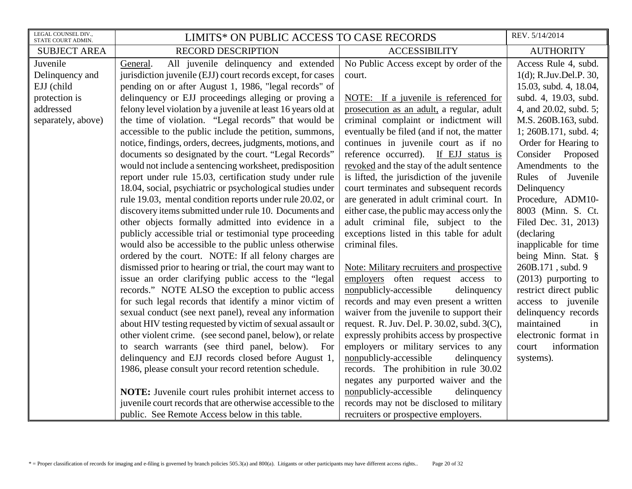| LEGAL COUNSEL DIV.,<br>STATE COURT ADMIN. | LIMITS* ON PUBLIC ACCESS TO CASE RECORDS                      |                                             | REV. 5/14/2014         |
|-------------------------------------------|---------------------------------------------------------------|---------------------------------------------|------------------------|
| <b>SUBJECT AREA</b>                       | <b>RECORD DESCRIPTION</b>                                     | <b>ACCESSIBILITY</b>                        | <b>AUTHORITY</b>       |
| Juvenile                                  | All juvenile delinquency and extended<br>General.             | No Public Access except by order of the     | Access Rule 4, subd.   |
| Delinquency and                           | jurisdiction juvenile (EJJ) court records except, for cases   | court.                                      | 1(d); R.Juv.Del.P. 30, |
| EJJ (child                                | pending on or after August 1, 1986, "legal records" of        |                                             | 15.03, subd. 4, 18.04, |
| protection is                             | delinquency or EJJ proceedings alleging or proving a          | NOTE: If a juvenile is referenced for       | subd. 4, 19.03, subd.  |
| addressed                                 | felony level violation by a juvenile at least 16 years old at | prosecution as an adult, a regular, adult   | 4, and 20.02, subd. 5; |
| separately, above)                        | the time of violation. "Legal records" that would be          | criminal complaint or indictment will       | M.S. 260B.163, subd.   |
|                                           | accessible to the public include the petition, summons,       | eventually be filed (and if not, the matter | 1; 260B.171, subd.4;   |
|                                           | notice, findings, orders, decrees, judgments, motions, and    | continues in juvenile court as if no        | Order for Hearing to   |
|                                           | documents so designated by the court. "Legal Records"         | reference occurred). If EJJ status is       | Consider Proposed      |
|                                           | would not include a sentencing worksheet, predisposition      | revoked and the stay of the adult sentence  | Amendments to the      |
|                                           | report under rule 15.03, certification study under rule       | is lifted, the jurisdiction of the juvenile | Rules of Juvenile      |
|                                           | 18.04, social, psychiatric or psychological studies under     | court terminates and subsequent records     | Delinquency            |
|                                           | rule 19.03, mental condition reports under rule 20.02, or     | are generated in adult criminal court. In   | Procedure, ADM10-      |
|                                           | discovery items submitted under rule 10. Documents and        | either case, the public may access only the | 8003 (Minn. S. Ct.     |
|                                           | other objects formally admitted into evidence in a            | adult criminal file, subject to the         | Filed Dec. 31, 2013)   |
|                                           | publicly accessible trial or testimonial type proceeding      | exceptions listed in this table for adult   | (declaring             |
|                                           | would also be accessible to the public unless otherwise       | criminal files.                             | inapplicable for time  |
|                                           | ordered by the court. NOTE: If all felony charges are         |                                             | being Minn. Stat. §    |
|                                           | dismissed prior to hearing or trial, the court may want to    | Note: Military recruiters and prospective   | 260B.171, subd. 9      |
|                                           | issue an order clarifying public access to the "legal"        | employers often request access to           | $(2013)$ purporting to |
|                                           | records." NOTE ALSO the exception to public access            | nonpublicly-accessible<br>delinquency       | restrict direct public |
|                                           | for such legal records that identify a minor victim of        | records and may even present a written      | access to juvenile     |
|                                           | sexual conduct (see next panel), reveal any information       | waiver from the juvenile to support their   | delinquency records    |
|                                           | about HIV testing requested by victim of sexual assault or    | request. R. Juv. Del. P. 30.02, subd. 3(C), | maintained<br>in       |
|                                           | other violent crime. (see second panel, below), or relate     | expressly prohibits access by prospective   | electronic format in   |
|                                           | to search warrants (see third panel, below). For              | employers or military services to any       | information<br>court   |
|                                           | delinquency and EJJ records closed before August 1,           | nonpublicly-accessible<br>delinquency       | systems).              |
|                                           | 1986, please consult your record retention schedule.          | records. The prohibition in rule 30.02      |                        |
|                                           |                                                               | negates any purported waiver and the        |                        |
|                                           | NOTE: Juvenile court rules prohibit internet access to        | nonpublicly-accessible<br>delinquency       |                        |
|                                           | juvenile court records that are otherwise accessible to the   | records may not be disclosed to military    |                        |
|                                           | public. See Remote Access below in this table.                | recruiters or prospective employers.        |                        |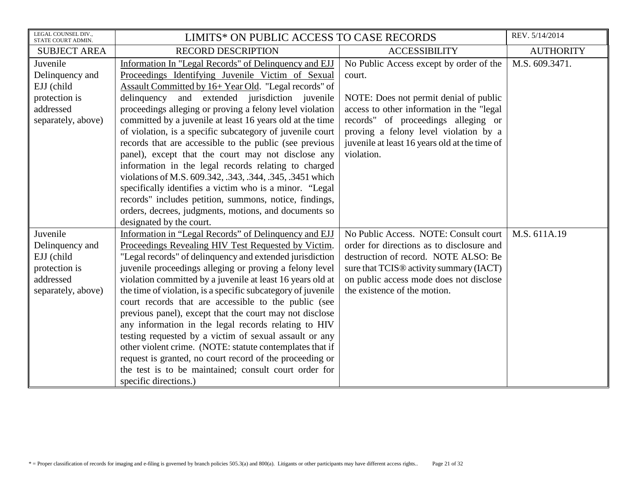| LEGAL COUNSEL DIV.,<br>STATE COURT ADMIN.                                                     | LIMITS* ON PUBLIC ACCESS TO CASE RECORDS                                                                                                                                                                                                                                                                                                                                                                                                                                                                                                                                                                                                                                                                                                                                                                                                                          |                                                                                                                                                                                                                                                                                          | REV. 5/14/2014   |
|-----------------------------------------------------------------------------------------------|-------------------------------------------------------------------------------------------------------------------------------------------------------------------------------------------------------------------------------------------------------------------------------------------------------------------------------------------------------------------------------------------------------------------------------------------------------------------------------------------------------------------------------------------------------------------------------------------------------------------------------------------------------------------------------------------------------------------------------------------------------------------------------------------------------------------------------------------------------------------|------------------------------------------------------------------------------------------------------------------------------------------------------------------------------------------------------------------------------------------------------------------------------------------|------------------|
| <b>SUBJECT AREA</b>                                                                           | <b>RECORD DESCRIPTION</b>                                                                                                                                                                                                                                                                                                                                                                                                                                                                                                                                                                                                                                                                                                                                                                                                                                         | <b>ACCESSIBILITY</b>                                                                                                                                                                                                                                                                     | <b>AUTHORITY</b> |
| Juvenile<br>Delinquency and<br>EJJ (child<br>protection is<br>addressed<br>separately, above) | Information In "Legal Records" of Delinquency and EJJ<br>Proceedings Identifying Juvenile Victim of Sexual<br>Assault Committed by 16+ Year Old. "Legal records" of<br>delinquency<br>and<br>extended jurisdiction juvenile<br>proceedings alleging or proving a felony level violation<br>committed by a juvenile at least 16 years old at the time<br>of violation, is a specific subcategory of juvenile court<br>records that are accessible to the public (see previous<br>panel), except that the court may not disclose any<br>information in the legal records relating to charged<br>violations of M.S. 609.342, .343, .344, .345, .3451 which<br>specifically identifies a victim who is a minor. "Legal<br>records" includes petition, summons, notice, findings,<br>orders, decrees, judgments, motions, and documents so<br>designated by the court. | No Public Access except by order of the<br>court.<br>NOTE: Does not permit denial of public<br>access to other information in the "legal"<br>records" of proceedings alleging or<br>proving a felony level violation by a<br>juvenile at least 16 years old at the time of<br>violation. | M.S. 609.3471.   |
| Juvenile<br>Delinquency and<br>EJJ (child<br>protection is<br>addressed<br>separately, above) | Information in "Legal Records" of Delinquency and EJJ<br>Proceedings Revealing HIV Test Requested by Victim.<br>"Legal records" of delinquency and extended jurisdiction<br>juvenile proceedings alleging or proving a felony level<br>violation committed by a juvenile at least 16 years old at<br>the time of violation, is a specific subcategory of juvenile<br>court records that are accessible to the public (see<br>previous panel), except that the court may not disclose<br>any information in the legal records relating to HIV<br>testing requested by a victim of sexual assault or any<br>other violent crime. (NOTE: statute contemplates that if<br>request is granted, no court record of the proceeding or<br>the test is to be maintained; consult court order for<br>specific directions.)                                                  | No Public Access. NOTE: Consult court<br>order for directions as to disclosure and<br>destruction of record. NOTE ALSO: Be<br>sure that TCIS <sup>®</sup> activity summary (IACT)<br>on public access mode does not disclose<br>the existence of the motion.                             | M.S. 611A.19     |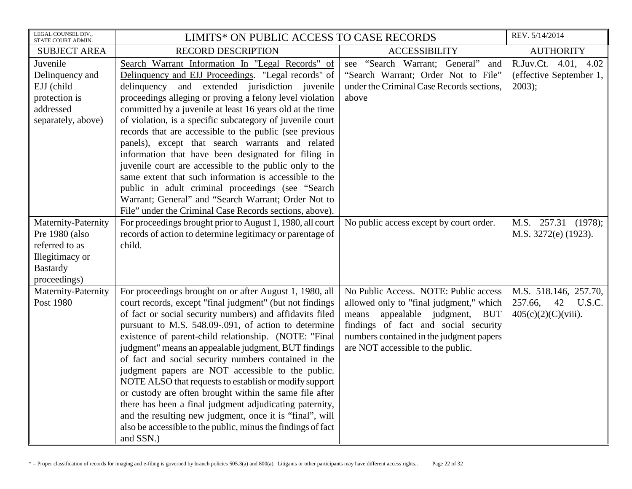| LEGAL COUNSEL DIV.,<br>STATE COURT ADMIN.                                                                     | LIMITS* ON PUBLIC ACCESS TO CASE RECORDS                                                                                                                                                                                                                                                                                                                                                                                                                                                                                                                                                                                                                                                                                                                                                                             |                                                                                                                                                                                                                                                          | REV. 5/14/2014                                                          |
|---------------------------------------------------------------------------------------------------------------|----------------------------------------------------------------------------------------------------------------------------------------------------------------------------------------------------------------------------------------------------------------------------------------------------------------------------------------------------------------------------------------------------------------------------------------------------------------------------------------------------------------------------------------------------------------------------------------------------------------------------------------------------------------------------------------------------------------------------------------------------------------------------------------------------------------------|----------------------------------------------------------------------------------------------------------------------------------------------------------------------------------------------------------------------------------------------------------|-------------------------------------------------------------------------|
| <b>SUBJECT AREA</b>                                                                                           | <b>RECORD DESCRIPTION</b>                                                                                                                                                                                                                                                                                                                                                                                                                                                                                                                                                                                                                                                                                                                                                                                            | <b>ACCESSIBILITY</b>                                                                                                                                                                                                                                     | <b>AUTHORITY</b>                                                        |
| Juvenile<br>Delinquency and<br>EJJ (child<br>protection is<br>addressed<br>separately, above)                 | Search Warrant Information In "Legal Records" of<br>Delinquency and EJJ Proceedings. "Legal records" of<br>delinquency<br>and extended jurisdiction juvenile<br>proceedings alleging or proving a felony level violation<br>committed by a juvenile at least 16 years old at the time<br>of violation, is a specific subcategory of juvenile court<br>records that are accessible to the public (see previous<br>panels), except that search warrants and related<br>information that have been designated for filing in<br>juvenile court are accessible to the public only to the<br>same extent that such information is accessible to the<br>public in adult criminal proceedings (see "Search<br>Warrant; General" and "Search Warrant; Order Not to<br>File" under the Criminal Case Records sections, above). | see "Search Warrant; General"<br>and<br>"Search Warrant; Order Not to File"<br>under the Criminal Case Records sections,<br>above                                                                                                                        | R.Juv.Ct. 4.01, 4.02<br>(effective September 1,<br>$2003$ ;             |
| Maternity-Paternity<br>Pre 1980 (also<br>referred to as<br>Illegitimacy or<br><b>Bastardy</b><br>proceedings) | For proceedings brought prior to August 1, 1980, all court<br>records of action to determine legitimacy or parentage of<br>child.                                                                                                                                                                                                                                                                                                                                                                                                                                                                                                                                                                                                                                                                                    | No public access except by court order.                                                                                                                                                                                                                  | M.S. 257.31 (1978);<br>M.S. 3272(e) (1923).                             |
| Maternity-Paternity<br>Post 1980                                                                              | For proceedings brought on or after August 1, 1980, all<br>court records, except "final judgment" (but not findings<br>of fact or social security numbers) and affidavits filed<br>pursuant to M.S. 548.09-.091, of action to determine<br>existence of parent-child relationship. (NOTE: "Final<br>judgment" means an appealable judgment, BUT findings<br>of fact and social security numbers contained in the<br>judgment papers are NOT accessible to the public.<br>NOTE ALSO that requests to establish or modify support<br>or custody are often brought within the same file after<br>there has been a final judgment adjudicating paternity,<br>and the resulting new judgment, once it is "final", will<br>also be accessible to the public, minus the findings of fact<br>and SSN.)                       | No Public Access. NOTE: Public access<br>allowed only to "final judgment," which<br>appealable judgment,<br>means<br><b>BUT</b><br>findings of fact and social security<br>numbers contained in the judgment papers<br>are NOT accessible to the public. | M.S. 518.146, 257.70,<br>257.66,<br>42 U.S.C.<br>$405(c)(2)(C)(viii)$ . |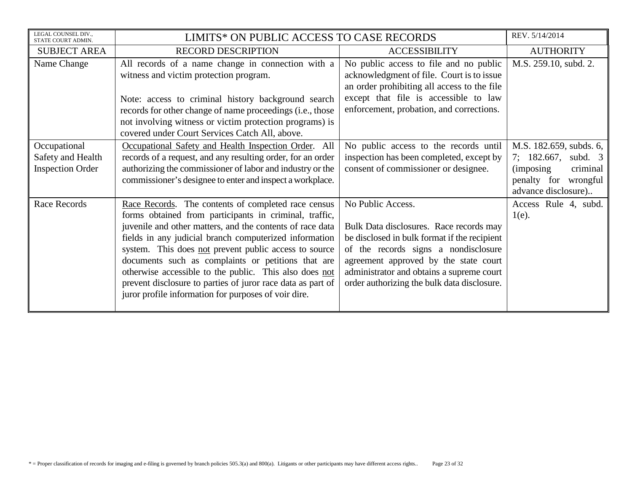| LEGAL COUNSEL DIV.,<br>STATE COURT ADMIN.                    | LIMITS* ON PUBLIC ACCESS TO CASE RECORDS                                                                                                                                                                                                                                                                                                                                                                                                                                                                                             |                                                                                                                                                                                                                                                                                           | REV. 5/14/2014                                                                                                                    |
|--------------------------------------------------------------|--------------------------------------------------------------------------------------------------------------------------------------------------------------------------------------------------------------------------------------------------------------------------------------------------------------------------------------------------------------------------------------------------------------------------------------------------------------------------------------------------------------------------------------|-------------------------------------------------------------------------------------------------------------------------------------------------------------------------------------------------------------------------------------------------------------------------------------------|-----------------------------------------------------------------------------------------------------------------------------------|
| <b>SUBJECT AREA</b>                                          | <b>RECORD DESCRIPTION</b>                                                                                                                                                                                                                                                                                                                                                                                                                                                                                                            | <b>ACCESSIBILITY</b>                                                                                                                                                                                                                                                                      | <b>AUTHORITY</b>                                                                                                                  |
| Name Change                                                  | All records of a name change in connection with a<br>witness and victim protection program.                                                                                                                                                                                                                                                                                                                                                                                                                                          | No public access to file and no public<br>acknowledgment of file. Court is to issue<br>an order prohibiting all access to the file<br>except that file is accessible to law                                                                                                               | M.S. 259.10, subd. 2.                                                                                                             |
|                                                              | Note: access to criminal history background search<br>records for other change of name proceedings (i.e., those<br>not involving witness or victim protection programs) is<br>covered under Court Services Catch All, above.                                                                                                                                                                                                                                                                                                         | enforcement, probation, and corrections.                                                                                                                                                                                                                                                  |                                                                                                                                   |
| Occupational<br>Safety and Health<br><b>Inspection Order</b> | Occupational Safety and Health Inspection Order. All<br>records of a request, and any resulting order, for an order<br>authorizing the commissioner of labor and industry or the<br>commissioner's designee to enter and inspect a workplace.                                                                                                                                                                                                                                                                                        | No public access to the records until<br>inspection has been completed, except by<br>consent of commissioner or designee.                                                                                                                                                                 | M.S. 182.659, subds. 6,<br>7; 182.667,<br>subd. 3<br><i>(imposing)</i><br>criminal<br>penalty for wrongful<br>advance disclosure) |
| <b>Race Records</b>                                          | Race Records. The contents of completed race census<br>forms obtained from participants in criminal, traffic,<br>juvenile and other matters, and the contents of race data<br>fields in any judicial branch computerized information<br>system. This does not prevent public access to source<br>documents such as complaints or petitions that are<br>otherwise accessible to the public. This also does not<br>prevent disclosure to parties of juror race data as part of<br>juror profile information for purposes of voir dire. | No Public Access.<br>Bulk Data disclosures. Race records may<br>be disclosed in bulk format if the recipient<br>of the records signs a nondisclosure<br>agreement approved by the state court<br>administrator and obtains a supreme court<br>order authorizing the bulk data disclosure. | Access Rule 4, subd.<br>$1(e)$ .                                                                                                  |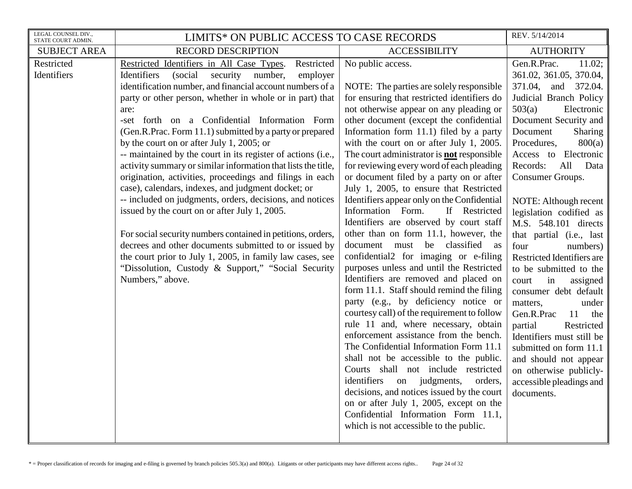| LEGAL COUNSEL DIV.,<br>STATE COURT ADMIN. | LIMITS* ON PUBLIC ACCESS TO CASE RECORDS                                                                                                                                                                                                                                                                                                                                                                                                                                                                                                                                                                                                                                                                                                                                                                                                                                                                                                                                                                                                        |                                                                                                                                                                                                                                                                                                                                                                                                                                                                                                                                                                                                                                                                                                                                                                                                                                                                                                                                                                                                                                                                                                                                                                                                                                                                                                                                                                                                      | REV. 5/14/2014                                                                                                                                                                                                                                                                                                                                                                                                                                                                                                                                                                                                                                                                                                                                           |
|-------------------------------------------|-------------------------------------------------------------------------------------------------------------------------------------------------------------------------------------------------------------------------------------------------------------------------------------------------------------------------------------------------------------------------------------------------------------------------------------------------------------------------------------------------------------------------------------------------------------------------------------------------------------------------------------------------------------------------------------------------------------------------------------------------------------------------------------------------------------------------------------------------------------------------------------------------------------------------------------------------------------------------------------------------------------------------------------------------|------------------------------------------------------------------------------------------------------------------------------------------------------------------------------------------------------------------------------------------------------------------------------------------------------------------------------------------------------------------------------------------------------------------------------------------------------------------------------------------------------------------------------------------------------------------------------------------------------------------------------------------------------------------------------------------------------------------------------------------------------------------------------------------------------------------------------------------------------------------------------------------------------------------------------------------------------------------------------------------------------------------------------------------------------------------------------------------------------------------------------------------------------------------------------------------------------------------------------------------------------------------------------------------------------------------------------------------------------------------------------------------------------|----------------------------------------------------------------------------------------------------------------------------------------------------------------------------------------------------------------------------------------------------------------------------------------------------------------------------------------------------------------------------------------------------------------------------------------------------------------------------------------------------------------------------------------------------------------------------------------------------------------------------------------------------------------------------------------------------------------------------------------------------------|
| <b>SUBJECT AREA</b>                       | <b>RECORD DESCRIPTION</b>                                                                                                                                                                                                                                                                                                                                                                                                                                                                                                                                                                                                                                                                                                                                                                                                                                                                                                                                                                                                                       | <b>ACCESSIBILITY</b>                                                                                                                                                                                                                                                                                                                                                                                                                                                                                                                                                                                                                                                                                                                                                                                                                                                                                                                                                                                                                                                                                                                                                                                                                                                                                                                                                                                 | <b>AUTHORITY</b>                                                                                                                                                                                                                                                                                                                                                                                                                                                                                                                                                                                                                                                                                                                                         |
| Restricted<br>Identifiers                 | Restricted Identifiers in All Case Types.<br>Restricted<br>(social<br>number,<br>Identifiers<br>security<br>employer<br>identification number, and financial account numbers of a<br>party or other person, whether in whole or in part) that<br>are:<br>-set forth on a Confidential Information Form<br>(Gen.R.Prac. Form 11.1) submitted by a party or prepared<br>by the court on or after July 1, 2005; or<br>-- maintained by the court in its register of actions (i.e.,<br>activity summary or similar information that lists the title,<br>origination, activities, proceedings and filings in each<br>case), calendars, indexes, and judgment docket; or<br>-- included on judgments, orders, decisions, and notices<br>issued by the court on or after July 1, 2005.<br>For social security numbers contained in petitions, orders,<br>decrees and other documents submitted to or issued by<br>the court prior to July 1, 2005, in family law cases, see<br>"Dissolution, Custody & Support," "Social Security"<br>Numbers," above. | No public access.<br>NOTE: The parties are solely responsible<br>for ensuring that restricted identifiers do<br>not otherwise appear on any pleading or<br>other document (except the confidential<br>Information form 11.1) filed by a party<br>with the court on or after July 1, 2005.<br>The court administrator is <b>not</b> responsible<br>for reviewing every word of each pleading<br>or document filed by a party on or after<br>July 1, 2005, to ensure that Restricted<br>Identifiers appear only on the Confidential<br>Information Form.<br>If Restricted<br>Identifiers are observed by court staff<br>other than on form 11.1, however, the<br>document must be classified<br>as<br>confidential2 for imaging or e-filing<br>purposes unless and until the Restricted<br>Identifiers are removed and placed on<br>form 11.1. Staff should remind the filing<br>party (e.g., by deficiency notice or<br>courtesy call) of the requirement to follow<br>rule 11 and, where necessary, obtain<br>enforcement assistance from the bench.<br>The Confidential Information Form 11.1<br>shall not be accessible to the public.<br>Courts shall not include restricted<br>identifiers<br>on judgments,<br>orders,<br>decisions, and notices issued by the court<br>on or after July 1, 2005, except on the<br>Confidential Information Form 11.1,<br>which is not accessible to the public. | Gen.R.Prac.<br>11.02;<br>361.02, 361.05, 370.04,<br>371.04,<br>and 372.04.<br>Judicial Branch Policy<br>503(a)<br>Electronic<br>Document Security and<br>Document<br><b>Sharing</b><br>Procedures,<br>800(a)<br>Access to Electronic<br>All<br>Records:<br>Data<br>Consumer Groups.<br>NOTE: Although recent<br>legislation codified as<br>M.S. 548.101 directs<br>that partial (i.e., last<br>four<br>numbers)<br>Restricted Identifiers are<br>to be submitted to the<br>in<br>assigned<br>court<br>consumer debt default<br>matters,<br>under<br>Gen.R.Prac<br>11<br>the<br>partial<br>Restricted<br>Identifiers must still be<br>submitted on form 11.1<br>and should not appear<br>on otherwise publicly-<br>accessible pleadings and<br>documents. |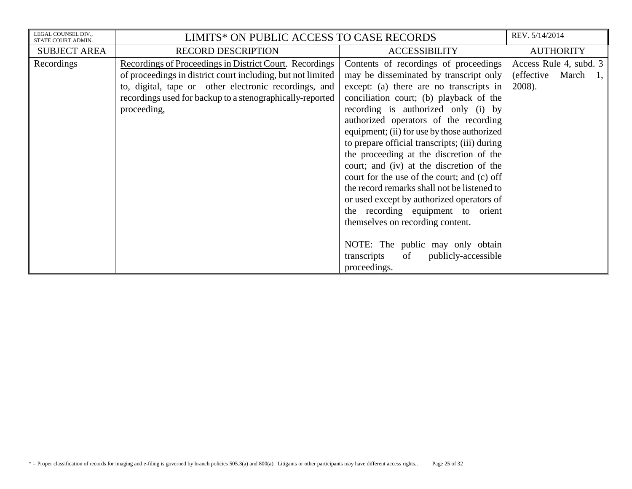| LEGAL COUNSEL DIV.,<br>STATE COURT ADMIN. | LIMITS* ON PUBLIC ACCESS TO CASE RECORDS                                                                                                                                                                                                                    |                                                                                                                                                                                                                                                                                                                                                                                                                                              | REV. 5/14/2014                                              |
|-------------------------------------------|-------------------------------------------------------------------------------------------------------------------------------------------------------------------------------------------------------------------------------------------------------------|----------------------------------------------------------------------------------------------------------------------------------------------------------------------------------------------------------------------------------------------------------------------------------------------------------------------------------------------------------------------------------------------------------------------------------------------|-------------------------------------------------------------|
| <b>SUBJECT AREA</b>                       | <b>RECORD DESCRIPTION</b>                                                                                                                                                                                                                                   | <b>ACCESSIBILITY</b>                                                                                                                                                                                                                                                                                                                                                                                                                         | <b>AUTHORITY</b>                                            |
| Recordings                                | Recordings of Proceedings in District Court. Recordings<br>of proceedings in district court including, but not limited<br>to, digital, tape or other electronic recordings, and<br>recordings used for backup to a stenographically-reported<br>proceeding, | Contents of recordings of proceedings<br>may be disseminated by transcript only<br>except: (a) there are no transcripts in<br>conciliation court; (b) playback of the<br>recording is authorized only (i) by<br>authorized operators of the recording<br>equipment; (ii) for use by those authorized<br>to prepare official transcripts; (iii) during<br>the proceeding at the discretion of the<br>court; and (iv) at the discretion of the | Access Rule 4, subd. 3<br>(effective March)<br>1,<br>2008). |
|                                           |                                                                                                                                                                                                                                                             | court for the use of the court; and (c) off<br>the record remarks shall not be listened to<br>or used except by authorized operators of<br>the recording equipment to orient<br>themselves on recording content.<br>NOTE: The public may only obtain<br>of<br>publicly-accessible<br>transcripts<br>proceedings.                                                                                                                             |                                                             |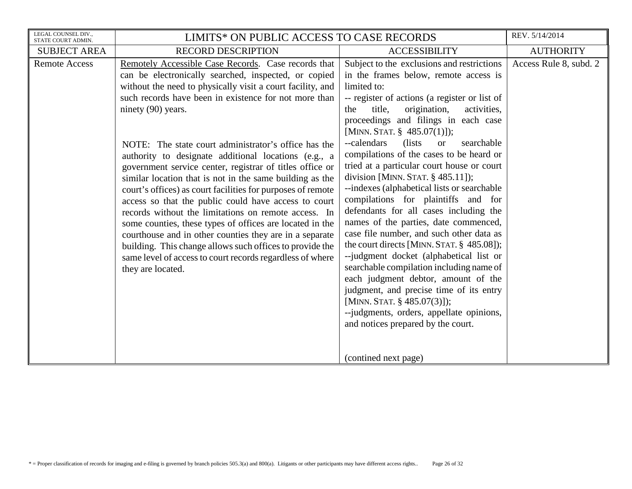| LEGAL COUNSEL DIV.,<br>STATE COURT ADMIN. | LIMITS* ON PUBLIC ACCESS TO CASE RECORDS                                                                                                                                                                                                                                                                                                                                                                                                                                                                                                                                                                                                                                                                                                                                                                                                                                                                                                             |                                                                                                                                                                                                                                                                                                                                                                                                                                                                                                                                                                                                                                                                                                                                                                                                                                                                                                                                                                                                                                                         | REV. 5/14/2014         |
|-------------------------------------------|------------------------------------------------------------------------------------------------------------------------------------------------------------------------------------------------------------------------------------------------------------------------------------------------------------------------------------------------------------------------------------------------------------------------------------------------------------------------------------------------------------------------------------------------------------------------------------------------------------------------------------------------------------------------------------------------------------------------------------------------------------------------------------------------------------------------------------------------------------------------------------------------------------------------------------------------------|---------------------------------------------------------------------------------------------------------------------------------------------------------------------------------------------------------------------------------------------------------------------------------------------------------------------------------------------------------------------------------------------------------------------------------------------------------------------------------------------------------------------------------------------------------------------------------------------------------------------------------------------------------------------------------------------------------------------------------------------------------------------------------------------------------------------------------------------------------------------------------------------------------------------------------------------------------------------------------------------------------------------------------------------------------|------------------------|
| <b>SUBJECT AREA</b>                       | <b>RECORD DESCRIPTION</b>                                                                                                                                                                                                                                                                                                                                                                                                                                                                                                                                                                                                                                                                                                                                                                                                                                                                                                                            | <b>ACCESSIBILITY</b>                                                                                                                                                                                                                                                                                                                                                                                                                                                                                                                                                                                                                                                                                                                                                                                                                                                                                                                                                                                                                                    | <b>AUTHORITY</b>       |
| <b>Remote Access</b>                      | Remotely Accessible Case Records. Case records that<br>can be electronically searched, inspected, or copied<br>without the need to physically visit a court facility, and<br>such records have been in existence for not more than<br>ninety (90) years.<br>NOTE: The state court administrator's office has the<br>authority to designate additional locations (e.g., a<br>government service center, registrar of titles office or<br>similar location that is not in the same building as the<br>court's offices) as court facilities for purposes of remote<br>access so that the public could have access to court<br>records without the limitations on remote access. In<br>some counties, these types of offices are located in the<br>courthouse and in other counties they are in a separate<br>building. This change allows such offices to provide the<br>same level of access to court records regardless of where<br>they are located. | Subject to the exclusions and restrictions<br>in the frames below, remote access is<br>limited to:<br>-- register of actions (a register or list of<br>origination,<br>activities,<br>title,<br>the<br>proceedings and filings in each case<br>[MINN. STAT. § 485.07(1)]);<br>--calendars<br>(lists)<br>searchable<br><b>or</b><br>compilations of the cases to be heard or<br>tried at a particular court house or court<br>division [MINN. STAT. $§$ 485.11]);<br>--indexes (alphabetical lists or searchable<br>compilations for plaintiffs and for<br>defendants for all cases including the<br>names of the parties, date commenced,<br>case file number, and such other data as<br>the court directs [MINN. STAT. § 485.08]);<br>--judgment docket (alphabetical list or<br>searchable compilation including name of<br>each judgment debtor, amount of the<br>judgment, and precise time of its entry<br>[MINN. STAT. $§$ 485.07(3)]);<br>--judgments, orders, appellate opinions,<br>and notices prepared by the court.<br>(contined next page) | Access Rule 8, subd. 2 |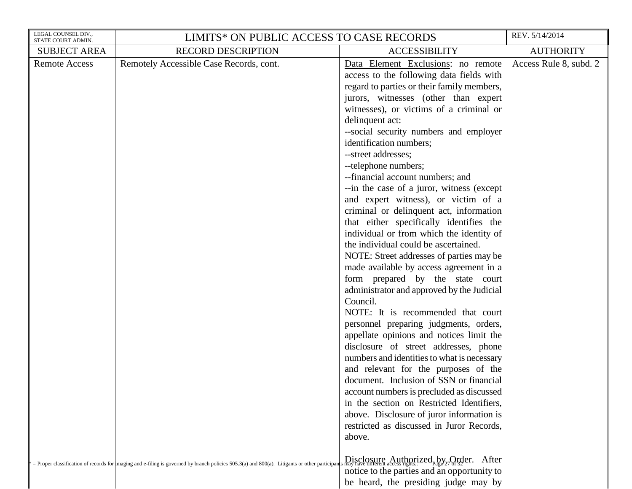| LEGAL COUNSEL DIV.,<br>STATE COURT ADMIN. | LIMITS* ON PUBLIC ACCESS TO CASE RECORDS                                                                                                           |                                                                                                                                                                                                                                                                                                                                                                                                                                                                                                                                                                                                                                                                                                                                                                                                                                                                                                                                                                                                                                                                                                                                                                                                                                                                                                                                                     | REV. 5/14/2014         |
|-------------------------------------------|----------------------------------------------------------------------------------------------------------------------------------------------------|-----------------------------------------------------------------------------------------------------------------------------------------------------------------------------------------------------------------------------------------------------------------------------------------------------------------------------------------------------------------------------------------------------------------------------------------------------------------------------------------------------------------------------------------------------------------------------------------------------------------------------------------------------------------------------------------------------------------------------------------------------------------------------------------------------------------------------------------------------------------------------------------------------------------------------------------------------------------------------------------------------------------------------------------------------------------------------------------------------------------------------------------------------------------------------------------------------------------------------------------------------------------------------------------------------------------------------------------------------|------------------------|
| <b>SUBJECT AREA</b>                       | <b>RECORD DESCRIPTION</b>                                                                                                                          | <b>ACCESSIBILITY</b>                                                                                                                                                                                                                                                                                                                                                                                                                                                                                                                                                                                                                                                                                                                                                                                                                                                                                                                                                                                                                                                                                                                                                                                                                                                                                                                                | <b>AUTHORITY</b>       |
| <b>Remote Access</b>                      | Remotely Accessible Case Records, cont.                                                                                                            | Data Element Exclusions: no remote<br>access to the following data fields with<br>regard to parties or their family members,<br>jurors, witnesses (other than expert<br>witnesses), or victims of a criminal or<br>delinquent act:<br>--social security numbers and employer<br>identification numbers;<br>--street addresses;<br>--telephone numbers;<br>--financial account numbers; and<br>-- in the case of a juror, witness (except<br>and expert witness), or victim of a<br>criminal or delinquent act, information<br>that either specifically identifies the<br>individual or from which the identity of<br>the individual could be ascertained.<br>NOTE: Street addresses of parties may be<br>made available by access agreement in a<br>form prepared by the state court<br>administrator and approved by the Judicial<br>Council.<br>NOTE: It is recommended that court<br>personnel preparing judgments, orders,<br>appellate opinions and notices limit the<br>disclosure of street addresses, phone<br>numbers and identities to what is necessary<br>and relevant for the purposes of the<br>document. Inclusion of SSN or financial<br>account numbers is precluded as discussed<br>in the section on Restricted Identifiers,<br>above. Disclosure of juror information is<br>restricted as discussed in Juror Records,<br>above. | Access Rule 8, subd. 2 |
|                                           | = Proper classification of records for imaging and e-filing is governed by branch policies $505.3(a)$ and $800(a)$ . Litigants or other participan | $Disclosure$ Authorized, by, Order. After<br>notice to the parties and an opportunity to<br>be heard, the presiding judge may by                                                                                                                                                                                                                                                                                                                                                                                                                                                                                                                                                                                                                                                                                                                                                                                                                                                                                                                                                                                                                                                                                                                                                                                                                    |                        |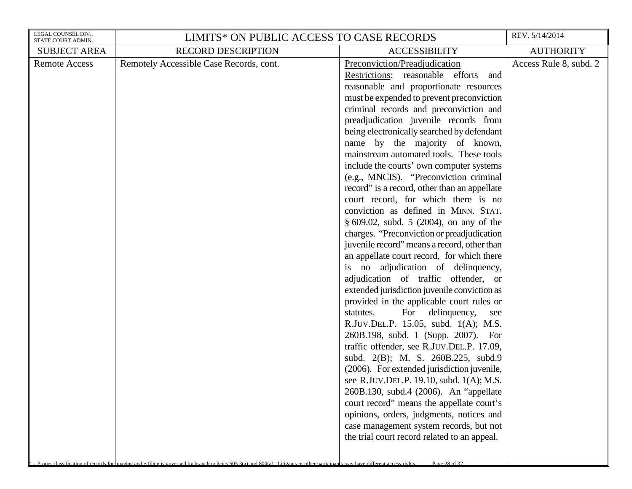| LEGAL COUNSEL DIV.,<br>STATE COURT ADMIN. | LIMITS* ON PUBLIC ACCESS TO CASE RECORDS                                                                                                                                      |                                                                                                                                                                                                                                                                                                                                                                                                                                                                                                                                                                                                                                                                                                                                                                                                                                                                                                                                                                                                                                                                                                                                                                                                                                                                                                                                                                                                                                                                                                           | REV. 5/14/2014         |
|-------------------------------------------|-------------------------------------------------------------------------------------------------------------------------------------------------------------------------------|-----------------------------------------------------------------------------------------------------------------------------------------------------------------------------------------------------------------------------------------------------------------------------------------------------------------------------------------------------------------------------------------------------------------------------------------------------------------------------------------------------------------------------------------------------------------------------------------------------------------------------------------------------------------------------------------------------------------------------------------------------------------------------------------------------------------------------------------------------------------------------------------------------------------------------------------------------------------------------------------------------------------------------------------------------------------------------------------------------------------------------------------------------------------------------------------------------------------------------------------------------------------------------------------------------------------------------------------------------------------------------------------------------------------------------------------------------------------------------------------------------------|------------------------|
| <b>SUBJECT AREA</b>                       | <b>RECORD DESCRIPTION</b>                                                                                                                                                     | <b>ACCESSIBILITY</b>                                                                                                                                                                                                                                                                                                                                                                                                                                                                                                                                                                                                                                                                                                                                                                                                                                                                                                                                                                                                                                                                                                                                                                                                                                                                                                                                                                                                                                                                                      | <b>AUTHORITY</b>       |
| <b>Remote Access</b>                      | Remotely Accessible Case Records, cont.                                                                                                                                       | Preconviction/Preadjudication<br>Restrictions: reasonable efforts<br>and<br>reasonable and proportionate resources<br>must be expended to prevent preconviction<br>criminal records and preconviction and<br>preadjudication juvenile records from<br>being electronically searched by defendant<br>name by the majority of known,<br>mainstream automated tools. These tools<br>include the courts' own computer systems<br>(e.g., MNCIS). "Preconviction criminal<br>record" is a record, other than an appellate<br>court record, for which there is no<br>conviction as defined in MINN. STAT.<br>§ 609.02, subd. 5 (2004), on any of the<br>charges. "Preconviction or preadjudication<br>juvenile record" means a record, other than<br>an appellate court record, for which there<br>is no adjudication of delinquency,<br>adjudication of traffic offender, or<br>extended jurisdiction juvenile conviction as<br>provided in the applicable court rules or<br>For<br>statutes.<br>delinquency,<br>see<br>R.JUV.DEL.P. 15.05, subd. 1(A); M.S.<br>260B.198, subd. 1 (Supp. 2007). For<br>traffic offender, see R.JUV.DEL.P. 17.09,<br>subd. 2(B); M. S. 260B.225, subd.9<br>(2006). For extended jurisdiction juvenile,<br>see R.JUV.DEL.P. 19.10, subd. 1(A); M.S.<br>260B.130, subd.4 (2006). An "appellate<br>court record" means the appellate court's<br>opinions, orders, judgments, notices and<br>case management system records, but not<br>the trial court record related to an appeal. | Access Rule 8, subd. 2 |
|                                           | Proper classification of records for imaging and e-filing is governed by branch policies 505.3(a) and 800(a) Litigants or other participants may have different access rights | Page 28 of 32                                                                                                                                                                                                                                                                                                                                                                                                                                                                                                                                                                                                                                                                                                                                                                                                                                                                                                                                                                                                                                                                                                                                                                                                                                                                                                                                                                                                                                                                                             |                        |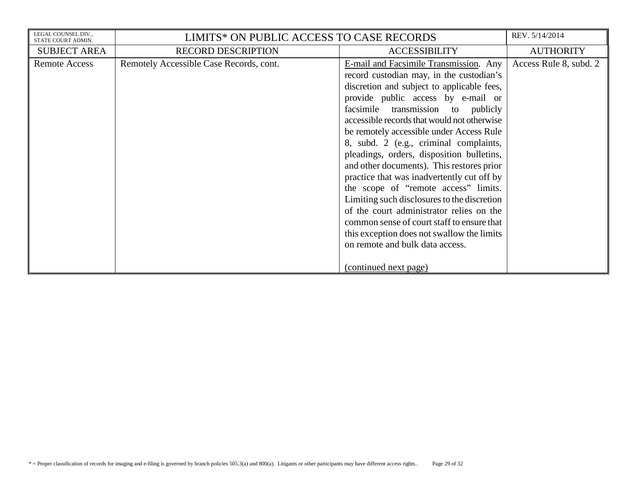| LEGAL COUNSEL DIV<br>STATE COURT ADMIN. | LIMITS* ON PUBLIC ACCESS TO CASE RECORDS |                                                                                                                                                                                                                                                                                                                                                                                                | REV. 5/14/2014         |
|-----------------------------------------|------------------------------------------|------------------------------------------------------------------------------------------------------------------------------------------------------------------------------------------------------------------------------------------------------------------------------------------------------------------------------------------------------------------------------------------------|------------------------|
| <b>SUBJECT AREA</b>                     | <b>RECORD DESCRIPTION</b>                | <b>ACCESSIBILITY</b>                                                                                                                                                                                                                                                                                                                                                                           | <b>AUTHORITY</b>       |
| <b>Remote Access</b>                    | Remotely Accessible Case Records, cont.  | E-mail and Facsimile Transmission. Any<br>record custodian may, in the custodian's<br>discretion and subject to applicable fees,<br>provide public access by e-mail or<br>facsimile transmission to publicly<br>accessible records that would not otherwise<br>be remotely accessible under Access Rule<br>8, subd. 2 (e.g., criminal complaints,<br>pleadings, orders, disposition bulletins, | Access Rule 8, subd. 2 |
|                                         |                                          | and other documents). This restores prior<br>practice that was inadvertently cut off by<br>the scope of "remote access" limits.<br>Limiting such disclosures to the discretion<br>of the court administrator relies on the<br>common sense of court staff to ensure that<br>this exception does not swallow the limits<br>on remote and bulk data access.<br>(continued next page)             |                        |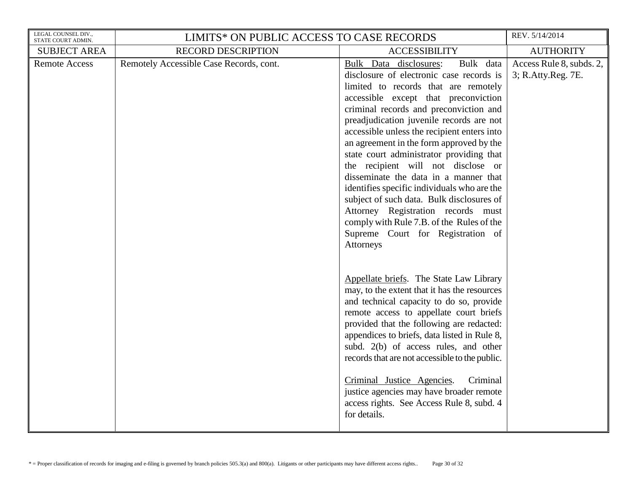| LEGAL COUNSEL DIV.,<br>STATE COURT ADMIN. | LIMITS* ON PUBLIC ACCESS TO CASE RECORDS |                                                                                                                                                                                                                                                                                                                                                                                                                                                                                                                                                                                                                                                                                                              | REV. 5/14/2014                                 |
|-------------------------------------------|------------------------------------------|--------------------------------------------------------------------------------------------------------------------------------------------------------------------------------------------------------------------------------------------------------------------------------------------------------------------------------------------------------------------------------------------------------------------------------------------------------------------------------------------------------------------------------------------------------------------------------------------------------------------------------------------------------------------------------------------------------------|------------------------------------------------|
| <b>SUBJECT AREA</b>                       | <b>RECORD DESCRIPTION</b>                | <b>ACCESSIBILITY</b>                                                                                                                                                                                                                                                                                                                                                                                                                                                                                                                                                                                                                                                                                         | <b>AUTHORITY</b>                               |
| <b>Remote Access</b>                      | Remotely Accessible Case Records, cont.  | Bulk data<br>Bulk Data disclosures:<br>disclosure of electronic case records is<br>limited to records that are remotely<br>accessible except that preconviction<br>criminal records and preconviction and<br>preadjudication juvenile records are not<br>accessible unless the recipient enters into<br>an agreement in the form approved by the<br>state court administrator providing that<br>the recipient will not disclose or<br>disseminate the data in a manner that<br>identifies specific individuals who are the<br>subject of such data. Bulk disclosures of<br>Attorney Registration records must<br>comply with Rule 7.B. of the Rules of the<br>Supreme Court for Registration of<br>Attorneys | Access Rule 8, subds. 2,<br>3; R.Atty.Reg. 7E. |
|                                           |                                          | Appellate briefs. The State Law Library<br>may, to the extent that it has the resources<br>and technical capacity to do so, provide<br>remote access to appellate court briefs<br>provided that the following are redacted:<br>appendices to briefs, data listed in Rule 8,<br>subd. 2(b) of access rules, and other<br>records that are not accessible to the public.<br>Criminal<br>Criminal Justice Agencies.<br>justice agencies may have broader remote<br>access rights. See Access Rule 8, subd. 4<br>for details.                                                                                                                                                                                    |                                                |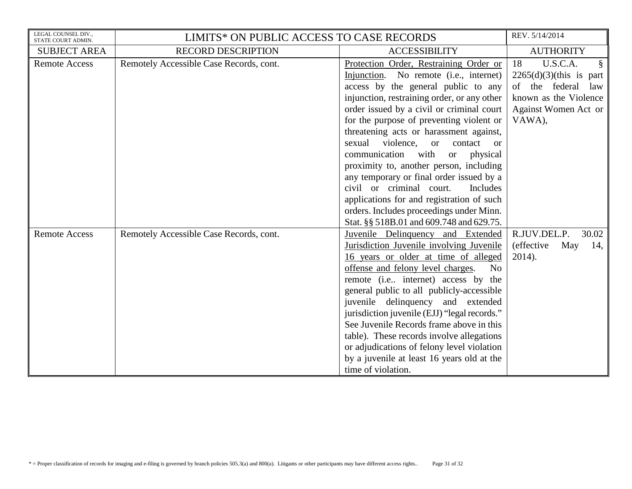| LEGAL COUNSEL DIV.,<br>STATE COURT ADMIN. | LIMITS* ON PUBLIC ACCESS TO CASE RECORDS |                                                                                                                                                                                                                                                                                                                                                                                                                                                                                                                                                                                                                                                             | REV. 5/14/2014                                                                                                                     |
|-------------------------------------------|------------------------------------------|-------------------------------------------------------------------------------------------------------------------------------------------------------------------------------------------------------------------------------------------------------------------------------------------------------------------------------------------------------------------------------------------------------------------------------------------------------------------------------------------------------------------------------------------------------------------------------------------------------------------------------------------------------------|------------------------------------------------------------------------------------------------------------------------------------|
| <b>SUBJECT AREA</b>                       | <b>RECORD DESCRIPTION</b>                | <b>ACCESSIBILITY</b>                                                                                                                                                                                                                                                                                                                                                                                                                                                                                                                                                                                                                                        | <b>AUTHORITY</b>                                                                                                                   |
| <b>Remote Access</b>                      | Remotely Accessible Case Records, cont.  | Protection Order, Restraining Order or<br>No remote ( <i>i.e.</i> , <i>internet</i> )<br>Injunction.<br>access by the general public to any<br>injunction, restraining order, or any other<br>order issued by a civil or criminal court<br>for the purpose of preventing violent or<br>threatening acts or harassment against,<br>sexual<br>violence,<br>contact or<br><sub>or</sub><br>communication with<br>physical<br><b>or</b><br>proximity to, another person, including<br>any temporary or final order issued by a<br>civil or criminal court.<br>Includes<br>applications for and registration of such<br>orders. Includes proceedings under Minn. | 18<br>U.S.C.A.<br>§<br>$2265(d)(3)$ (this is part<br>of the federal law<br>known as the Violence<br>Against Women Act or<br>VAWA), |
| <b>Remote Access</b>                      | Remotely Accessible Case Records, cont.  | Stat. §§ 518B.01 and 609.748 and 629.75.<br>Juvenile Delinquency and Extended<br>Jurisdiction Juvenile involving Juvenile<br>16 years or older at time of alleged<br>offense and felony level charges.<br>N <sub>o</sub><br>remote (i.e., internet) access by the<br>general public to all publicly-accessible<br>juvenile delinquency and extended<br>jurisdiction juvenile (EJJ) "legal records."<br>See Juvenile Records frame above in this<br>table). These records involve allegations<br>or adjudications of felony level violation<br>by a juvenile at least 16 years old at the<br>time of violation.                                              | 30.02<br>R.JUV.DEL.P.<br><i>(effective)</i><br>May<br>14,<br>2014).                                                                |